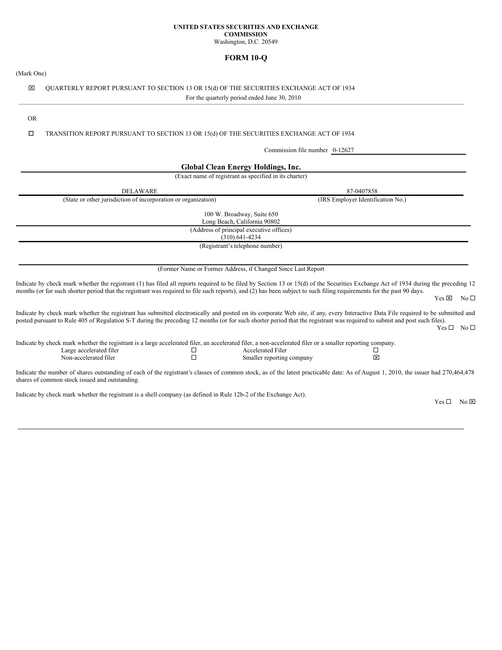#### **UNITED STATES SECURITIES AND EXCHANGE COMMISSION**

Washington, D.C. 20549

# **FORM 10-Q**

| (Mark One) |                                                                                                                                                                                                                                                                                                                                                             |        |                                                              |                                   |                         |                 |                    |
|------------|-------------------------------------------------------------------------------------------------------------------------------------------------------------------------------------------------------------------------------------------------------------------------------------------------------------------------------------------------------------|--------|--------------------------------------------------------------|-----------------------------------|-------------------------|-----------------|--------------------|
| ⊠          | QUARTERLY REPORT PURSUANT TO SECTION 13 OR 15(d) OF THE SECURITIES EXCHANGE ACT OF 1934                                                                                                                                                                                                                                                                     |        | For the quarterly period ended June 30, 2010                 |                                   |                         |                 |                    |
|            |                                                                                                                                                                                                                                                                                                                                                             |        |                                                              |                                   |                         |                 |                    |
|            |                                                                                                                                                                                                                                                                                                                                                             |        |                                                              |                                   |                         |                 |                    |
| <b>OR</b>  |                                                                                                                                                                                                                                                                                                                                                             |        |                                                              |                                   |                         |                 |                    |
| □          | TRANSITION REPORT PURSUANT TO SECTION 13 OR 15(d) OF THE SECURITIES EXCHANGE ACT OF 1934                                                                                                                                                                                                                                                                    |        |                                                              |                                   |                         |                 |                    |
|            |                                                                                                                                                                                                                                                                                                                                                             |        | Commission file number 0-12627                               |                                   |                         |                 |                    |
|            |                                                                                                                                                                                                                                                                                                                                                             |        | <b>Global Clean Energy Holdings, Inc.</b>                    |                                   |                         |                 |                    |
|            |                                                                                                                                                                                                                                                                                                                                                             |        | (Exact name of registrant as specified in its charter)       |                                   |                         |                 |                    |
|            | <b>DELAWARE</b>                                                                                                                                                                                                                                                                                                                                             |        |                                                              | 87-0407858                        |                         |                 |                    |
|            | (State or other jurisdiction of incorporation or organization)                                                                                                                                                                                                                                                                                              |        |                                                              | (IRS Employer Identification No.) |                         |                 |                    |
|            |                                                                                                                                                                                                                                                                                                                                                             |        | 100 W. Broadway, Suite 650<br>Long Beach, California 90802   |                                   |                         |                 |                    |
|            |                                                                                                                                                                                                                                                                                                                                                             |        | (Address of principal executive offices)                     |                                   |                         |                 |                    |
|            |                                                                                                                                                                                                                                                                                                                                                             |        | $(310)$ 641-4234                                             |                                   |                         |                 |                    |
|            |                                                                                                                                                                                                                                                                                                                                                             |        | (Registrant's telephone number)                              |                                   |                         |                 |                    |
|            |                                                                                                                                                                                                                                                                                                                                                             |        |                                                              |                                   |                         |                 |                    |
|            |                                                                                                                                                                                                                                                                                                                                                             |        | (Former Name or Former Address, if Changed Since Last Report |                                   |                         |                 |                    |
|            | Indicate by check mark whether the registrant (1) has filed all reports required to be filed by Section 13 or 15(d) of the Securities Exchange Act of 1934 during the preceding 12<br>months (or for such shorter period that the registrant was required to file such reports), and (2) has been subject to such filing requirements for the past 90 days. |        |                                                              |                                   |                         |                 |                    |
|            |                                                                                                                                                                                                                                                                                                                                                             |        |                                                              |                                   |                         | Yes $\boxtimes$ | No $\Box$          |
|            | Indicate by check mark whether the registrant has submitted electronically and posted on its corporate Web site, if any, every Interactive Data File required to be submitted and                                                                                                                                                                           |        |                                                              |                                   |                         |                 |                    |
|            | posted pursuant to Rule 405 of Regulation S-T during the preceding 12 months (or for such shorter period that the registrant was required to submit and post such files).                                                                                                                                                                                   |        |                                                              |                                   |                         |                 | $Yes \Box No \Box$ |
|            | Indicate by check mark whether the registrant is a large accelerated filer, an accelerated filer, a non-accelerated filer or a smaller reporting company.<br>Large accelerated filer                                                                                                                                                                        | □      | Accelerated Filer                                            |                                   | □                       |                 |                    |
|            | Non-accelerated filer                                                                                                                                                                                                                                                                                                                                       | $\Box$ | Smaller reporting company                                    |                                   | $\overline{\mathbf{x}}$ |                 |                    |
|            | Indicate the number of shares outstanding of each of the registrant's classes of common stock, as of the latest practicable date: As of August 1, 2010, the issuer had 270,464,478<br>shares of common stock issued and outstanding.                                                                                                                        |        |                                                              |                                   |                         |                 |                    |
|            | Indicate by check mark whether the registrant is a shell company (as defined in Rule 12b-2 of the Exchange Act).                                                                                                                                                                                                                                            |        |                                                              |                                   |                         |                 |                    |
|            |                                                                                                                                                                                                                                                                                                                                                             |        |                                                              |                                   |                         | Yes $\Box$      | $No \boxtimes$     |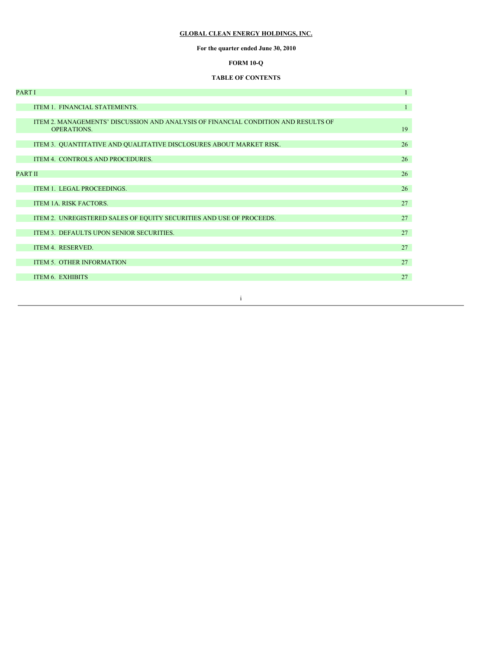## **GLOBAL CLEAN ENERGY HOLDINGS, INC.**

## **For the quarter ended June 30, 2010**

## **FORM 10-Q**

# **TABLE OF CONTENTS**

| PART I  |                                                                                                          | $\mathbf{1}$ |
|---------|----------------------------------------------------------------------------------------------------------|--------------|
|         |                                                                                                          |              |
|         | ITEM 1. FINANCIAL STATEMENTS.                                                                            | $\mathbf{1}$ |
|         |                                                                                                          |              |
|         | ITEM 2. MANAGEMENTS' DISCUSSION AND ANALYSIS OF FINANCIAL CONDITION AND RESULTS OF<br><b>OPERATIONS.</b> | 19           |
|         |                                                                                                          |              |
|         | ITEM 3. QUANTITATIVE AND QUALITATIVE DISCLOSURES ABOUT MARKET RISK.                                      | 26           |
|         |                                                                                                          |              |
|         | ITEM 4. CONTROLS AND PROCEDURES.                                                                         | 26           |
| PART II |                                                                                                          | 26           |
|         |                                                                                                          |              |
|         | ITEM 1. LEGAL PROCEEDINGS.                                                                               | 26           |
|         |                                                                                                          |              |
|         | ITEM 1A. RISK FACTORS.                                                                                   | 27           |
|         |                                                                                                          |              |
|         | ITEM 2. UNREGISTERED SALES OF EQUITY SECURITIES AND USE OF PROCEEDS.                                     | 27           |
|         |                                                                                                          |              |
|         | ITEM 3. DEFAULTS UPON SENIOR SECURITIES.                                                                 | 27           |
|         |                                                                                                          |              |
|         | ITEM 4. RESERVED.                                                                                        | 27           |
|         | <b>ITEM 5. OTHER INFORMATION</b>                                                                         | 27           |
|         |                                                                                                          |              |
|         | <b>ITEM 6. EXHIBITS</b>                                                                                  | 27           |
|         |                                                                                                          |              |
|         |                                                                                                          |              |

i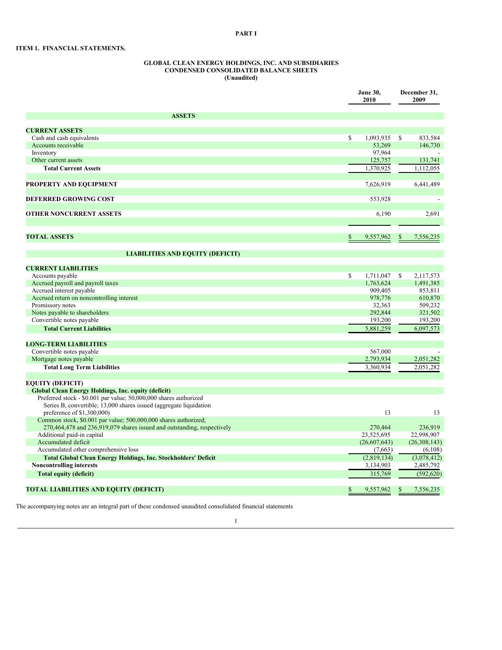## **PART I**

## **ITEM 1. FINANCIAL STATEMENTS.**

#### **GLOBAL CLEAN ENERGY HOLDINGS, INC. AND SUBSIDIARIES CONDENSED CONSOLIDATED BALANCE SHEETS (Unaudited)**

|                                                                         | <b>June 30,</b><br>2010 |              |    | December 31,<br>2009 |  |
|-------------------------------------------------------------------------|-------------------------|--------------|----|----------------------|--|
| <b>ASSETS</b>                                                           |                         |              |    |                      |  |
| <b>CURRENT ASSETS</b>                                                   |                         |              |    |                      |  |
| Cash and cash equivalents                                               | \$                      | 1,093,935    | \$ | 833,584              |  |
| Accounts receivable                                                     |                         | 53,269       |    | 146,730              |  |
| Inventory                                                               |                         | 97,964       |    |                      |  |
| Other current assets                                                    |                         | 125,757      |    | 131,741              |  |
| <b>Total Current Assets</b>                                             |                         | 1,370,925    |    | 1,112,055            |  |
|                                                                         |                         |              |    |                      |  |
| PROPERTY AND EQUIPMENT                                                  |                         | 7,626,919    |    | 6,441,489            |  |
| <b>DEFERRED GROWING COST</b>                                            |                         | 553,928      |    |                      |  |
|                                                                         |                         |              |    |                      |  |
| <b>OTHER NONCURRENT ASSETS</b>                                          |                         | 6,190        |    | 2,691                |  |
| <b>TOTAL ASSETS</b>                                                     |                         | 9,557,962    | \$ | 7,556,235            |  |
| <b>LIABILITIES AND EQUITY (DEFICIT)</b>                                 |                         |              |    |                      |  |
| <b>CURRENT LIABILITIES</b>                                              |                         |              |    |                      |  |
| Accounts payable                                                        | $\mathbb{S}$            | 1,711,047    | -S | 2,117,573            |  |
| Accrued payroll and payroll taxes                                       |                         | 1,763,624    |    | 1,491,385            |  |
| Accrued interest payable                                                |                         | 909,405      |    | 853,811              |  |
| Accrued return on noncontrolling interest                               |                         | 978,776      |    | 610,870              |  |
| Promissory notes                                                        |                         | 32,363       |    | 509,232              |  |
| Notes payable to shareholders                                           |                         | 292,844      |    | 321,502              |  |
| Convertible notes payable                                               |                         | 193,200      |    | 193,200              |  |
| <b>Total Current Liabilities</b>                                        |                         | 5,881,259    |    | 6,097,573            |  |
|                                                                         |                         |              |    |                      |  |
| <b>LONG-TERM LIABILITIES</b>                                            |                         |              |    |                      |  |
| Convertible notes payable                                               |                         | 567,000      |    |                      |  |
| Mortgage notes payable                                                  |                         | 2,793,934    |    | 2,051,282            |  |
| <b>Total Long Term Liabilities</b>                                      |                         | 3,360,934    |    | 2,051,282            |  |
|                                                                         |                         |              |    |                      |  |
| <b>EQUITY (DEFICIT)</b>                                                 |                         |              |    |                      |  |
| <b>Global Clean Energy Holdings, Inc. equity (deficit)</b>              |                         |              |    |                      |  |
| Preferred stock - \$0.001 par value; 50,000,000 shares authorized       |                         |              |    |                      |  |
| Series B, convertible; 13,000 shares issued (aggregate liquidation      |                         |              |    |                      |  |
| preference of \$1,300,000)                                              |                         | 13           |    | 13                   |  |
| Common stock, \$0.001 par value; 500,000,000 shares authorized;         |                         |              |    |                      |  |
| 270,464,478 and 236,919,079 shares issued and outstanding, respectively |                         | 270,464      |    | 236,919              |  |
| Additional paid-in capital                                              |                         | 23,525,695   |    | 22,998,907           |  |
| Accumulated deficit                                                     |                         | (26,607,643) |    | (26, 308, 143)       |  |
| Accumulated other comprehensive loss                                    |                         | (7,663)      |    | (6,108)              |  |
| <b>Total Global Clean Energy Holdings, Inc. Stockholders' Deficit</b>   |                         | (2,819,134)  |    | (3,078,412)          |  |
| <b>Noncontrolling interests</b>                                         |                         | 3,134,903    |    | 2,485,792            |  |
| <b>Total equity (deficit)</b>                                           |                         | 315,769      |    | (592, 620)           |  |
| <b>TOTAL LIABILITIES AND EQUITY (DEFICIT)</b>                           |                         | 9,557,962    |    | 7,556,235            |  |

The accompanying notes are an integral part of these condensed unaudited consolidated financial statements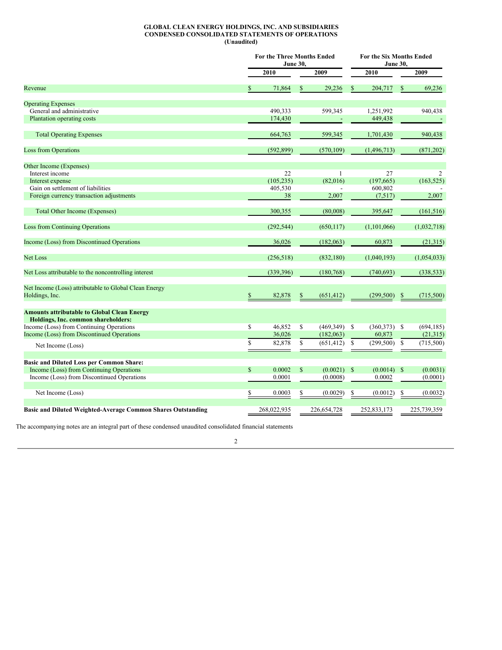#### **GLOBAL CLEAN ENERGY HOLDINGS, INC. AND SUBSIDIARIES CONDENSED CONSOLIDATED STATEMENTS OF OPERATIONS (Unaudited)**

|                                                                                             |              | <b>For the Three Months Ended</b><br><b>June 30,</b> |              |                      | <b>For the Six Months Ended</b><br>June 30, |                         |              |             |
|---------------------------------------------------------------------------------------------|--------------|------------------------------------------------------|--------------|----------------------|---------------------------------------------|-------------------------|--------------|-------------|
|                                                                                             |              | 2010                                                 |              | 2009                 |                                             | 2010                    |              | 2009        |
| Revenue                                                                                     |              | 71,864                                               | \$           | 29,236               | S                                           | 204,717                 |              | 69,236      |
| <b>Operating Expenses</b>                                                                   |              |                                                      |              |                      |                                             |                         |              |             |
| General and administrative                                                                  |              | 490,333                                              |              | 599,345              |                                             | 1,251,992               |              | 940,438     |
| Plantation operating costs                                                                  |              | 174,430                                              |              |                      |                                             | 449,438                 |              |             |
| <b>Total Operating Expenses</b>                                                             |              | 664,763                                              |              | 599,345              |                                             | 1,701,430               |              | 940,438     |
| <b>Loss from Operations</b>                                                                 |              | (592, 899)                                           |              | (570, 109)           |                                             | (1,496,713)             |              | (871, 202)  |
| Other Income (Expenses)                                                                     |              |                                                      |              |                      |                                             |                         |              |             |
| Interest income                                                                             |              | 22                                                   |              | $\mathbf{1}$         |                                             | 27                      |              | 2           |
| Interest expense                                                                            |              | (105, 235)                                           |              | (82,016)             |                                             | (197, 665)              |              | (163, 525)  |
| Gain on settlement of liabilities                                                           |              | 405,530                                              |              |                      |                                             | 600,802                 |              |             |
| Foreign currency transaction adjustments                                                    |              | 38                                                   |              | 2,007                |                                             | (7,517)                 |              | 2,007       |
| Total Other Income (Expenses)                                                               |              | 300,355                                              |              | (80,008)             |                                             | 395,647                 |              | (161, 516)  |
| <b>Loss from Continuing Operations</b>                                                      |              | (292, 544)                                           |              | (650, 117)           |                                             | (1, 101, 066)           |              | (1,032,718) |
| Income (Loss) from Discontinued Operations                                                  |              | 36,026                                               |              | (182,063)            |                                             | 60,873                  |              | (21, 315)   |
| <b>Net Loss</b>                                                                             |              | (256, 518)                                           |              | (832, 180)           |                                             | (1,040,193)             |              | (1,054,033) |
| Net Loss attributable to the noncontrolling interest                                        |              | (339, 396)                                           |              | (180, 768)           |                                             | (740, 693)              |              | (338, 533)  |
| Net Income (Loss) attributable to Global Clean Energy                                       |              |                                                      |              |                      |                                             |                         |              |             |
| Holdings, Inc.                                                                              | \$           | 82,878                                               |              | (651, 412)           |                                             | (299, 500)              |              | (715,500)   |
| <b>Amounts attributable to Global Clean Energy</b><br>Holdings, Inc. common shareholders:   |              |                                                      |              |                      |                                             |                         |              |             |
| Income (Loss) from Continuing Operations                                                    | \$           | 46,852                                               | $\mathbb{S}$ | (469, 349)           | <sup>\$</sup>                               | $(360,373)$ \$          |              | (694, 185)  |
| Income (Loss) from Discontinued Operations                                                  |              | 36,026                                               |              | (182,063)            |                                             | 60,873                  |              | (21, 315)   |
| Net Income (Loss)                                                                           | $\mathbb{S}$ | 82,878                                               | \$           | (651, 412)           | $\mathbb S$                                 | (299, 500)              | $\mathbb{S}$ | (715,500)   |
|                                                                                             |              |                                                      |              |                      |                                             |                         |              |             |
| <b>Basic and Diluted Loss per Common Share:</b><br>Income (Loss) from Continuing Operations | \$           | 0.0002                                               | $\mathbb{S}$ |                      |                                             |                         |              | (0.0031)    |
| Income (Loss) from Discontinued Operations                                                  |              | 0.0001                                               |              | (0.0021)<br>(0.0008) | \$                                          | $(0.0014)$ \$<br>0.0002 |              | (0.0001)    |
|                                                                                             |              |                                                      |              |                      |                                             |                         |              |             |
| Net Income (Loss)                                                                           | \$           | 0.0003                                               | S            | (0.0029)             | \$                                          | (0.0012)                | S            | (0.0032)    |
| Basic and Diluted Weighted-Average Common Shares Outstanding                                |              | 268,022,935                                          |              | 226, 654, 728        |                                             | 252,833,173             |              | 225,739,359 |

The accompanying notes are an integral part of these condensed unaudited consolidated financial statements

| ł |  |  |
|---|--|--|
|   |  |  |
|   |  |  |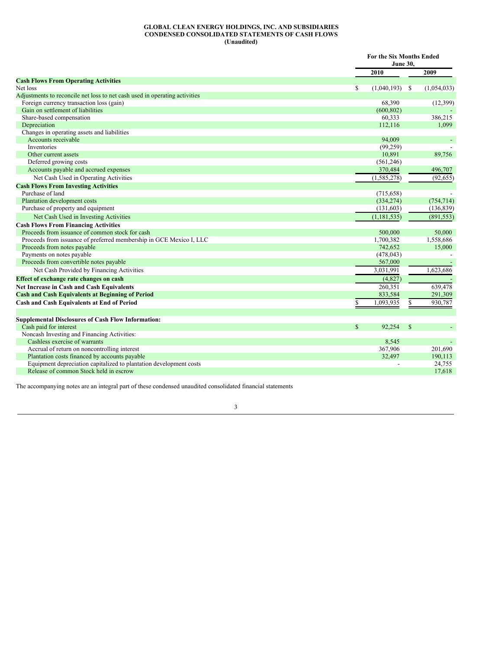#### **GLOBAL CLEAN ENERGY HOLDINGS, INC. AND SUBSIDIARIES CONDENSED CONSOLIDATED STATEMENTS OF CASH FLOWS (Unaudited)**

|                                                                            | For the Six Months Ended | <b>June 30.</b>   |
|----------------------------------------------------------------------------|--------------------------|-------------------|
|                                                                            | 2010                     | 2009              |
| <b>Cash Flows From Operating Activities</b>                                |                          |                   |
| Net loss                                                                   | \$<br>(1,040,193)        | (1,054,033)<br>-S |
| Adjustments to reconcile net loss to net cash used in operating activities |                          |                   |
| Foreign currency transaction loss (gain)                                   | 68,390                   | (12, 399)         |
| Gain on settlement of liabilities                                          | (600, 802)               |                   |
| Share-based compensation                                                   | 60,333                   | 386,215           |
| Depreciation                                                               | 112,116                  | 1.099             |
| Changes in operating assets and liabilities                                |                          |                   |
| Accounts receivable                                                        | 94.009                   |                   |
| Inventories                                                                | (99, 259)                |                   |
| Other current assets                                                       | 10,891                   | 89,756            |
| Deferred growing costs                                                     | (561, 246)               |                   |
| Accounts payable and accrued expenses                                      | 370,484                  | 496,707           |
| Net Cash Used in Operating Activities                                      | (1, 585, 278)            | (92, 655)         |
| <b>Cash Flows From Investing Activities</b>                                |                          |                   |
| Purchase of land                                                           | (715, 658)               |                   |
| Plantation development costs                                               | (334, 274)               | (754, 714)        |
| Purchase of property and equipment                                         | (131, 603)               | (136, 839)        |
| Net Cash Used in Investing Activities                                      | (1, 181, 535)            | (891, 553)        |
| <b>Cash Flows From Financing Activities</b>                                |                          |                   |
| Proceeds from issuance of common stock for cash                            | 500,000                  | 50,000            |
| Proceeds from issuance of preferred membership in GCE Mexico I, LLC        | 1,700,382                | 1,558,686         |
| Proceeds from notes payable                                                | 742,652                  | 15,000            |
| Payments on notes payable                                                  | (478, 043)               |                   |
| Proceeds from convertible notes payable                                    | 567,000                  |                   |
| Net Cash Provided by Financing Activities                                  | 3,031,991                | 1,623,686         |
| <b>Effect of exchange rate changes on cash</b>                             | (4,827)                  |                   |
| Net Increase in Cash and Cash Equivalents                                  | 260,351                  | 639,478           |
| <b>Cash and Cash Equivalents at Beginning of Period</b>                    | 833,584                  | 291,309           |
| Cash and Cash Equivalents at End of Period                                 | 1,093,935<br>\$          | 930,787<br>\$     |
| <b>Supplemental Disclosures of Cash Flow Information:</b>                  |                          |                   |
| Cash paid for interest                                                     | $\mathbb{S}$<br>92.254   | \$                |
| Noncash Investing and Financing Activities:                                |                          |                   |
| Cashless exercise of warrants                                              | 8.545                    |                   |
| Accrual of return on noncontrolling interest                               | 367,906                  | 201,690           |
| Plantation costs financed by accounts payable                              | 32,497                   | 190,113           |
| Equipment depreciation capitalized to plantation development costs         |                          | 24,755            |
| Release of common Stock held in escrow                                     |                          | 17,618            |

The accompanying notes are an integral part of these condensed unaudited consolidated financial statements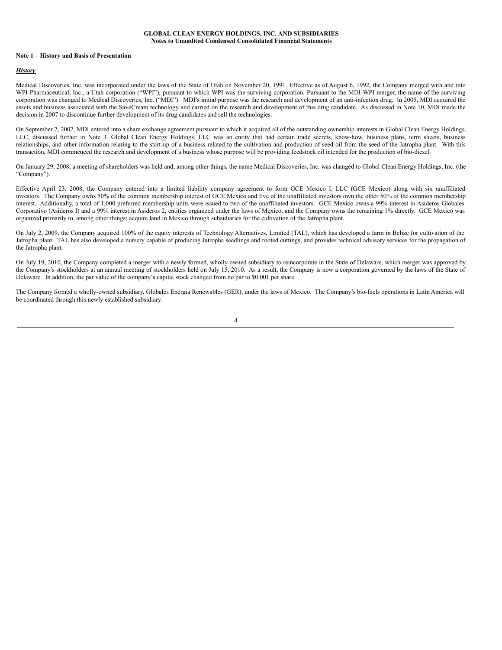### **Note 1 – History and Basis of Presentation**

#### *History*

Medical Discoveries, Inc. was incorporated under the laws of the State of Utah on November 20, 1991. Effective as of August 6, 1992, the Company merged with and into WPI Pharmaceutical, Inc., a Utah corporation ("WPI"), pursuant to which WPI was the surviving corporation. Pursuant to the MDI-WPI merger, the name of the surviving corporation was changed to Medical Discoveries, Inc. ("MDI"). MDI's initial purpose was the research and development of an anti-infection drug. In 2005, MDI acquired the assets and business associated with the SaveCream technology and carried on the research and development of this drug candidate. As discussed in Note 10, MDI made the decision in 2007 to discontinue further development of its drug candidates and sell the technologies.

On September 7, 2007, MDI entered into a share exchange agreement pursuant to which it acquired all of the outstanding ownership interests in Global Clean Energy Holdings, LLC, discussed further in Note 3. Global Clean Energy Holdings, LLC was an entity that had certain trade secrets, know-how, business plans, term sheets, business relationships, and other information relating to the start-up of a business related to the cultivation and production of seed oil from the seed of the Jatropha plant. With this transaction, MDI commenced the research and development of a business whose purpose will be providing feedstock oil intended for the production of bio-diesel.

On January 29, 2008, a meeting of shareholders was held and, among other things, the name Medical Discoveries, Inc. was changed to Global Clean Energy Holdings, Inc. (the "Company").

Effective April 23, 2008, the Company entered into a limited liability company agreement to form GCE Mexico I, LLC (GCE Mexico) along with six unaffiliated investors. The Company owns 50% of the common membership interest of GCE Mexico and five of the unaffiliated investors own the other 50% of the common membership interest. Additionally, a total of 1,000 preferred membership units were issued to two of the unaffiliated investors. GCE Mexico owns a 99% interest in Asideros Globales Corporativo (Asideros I) and a 99% interest in Asideros 2, entities organized under the laws of Mexico, and the Company owns the remaining 1% directly. GCE Mexico was organized primarily to, among other things; acquire land in Mexico through subsidiaries for the cultivation of the Jatropha plant.

On July 2, 2009, the Company acquired 100% of the equity interests of Technology Alternatives, Limited (TAL), which has developed a farm in Belize for cultivation of the Jatropha plant. TAL has also developed a nursery capable of producing Jatropha seedlings and rooted cuttings, and provides technical advisory services for the propagation of the Jatropha plant.

On July 19, 2010, the Company completed a merger with a newly formed, wholly owned subsidiary to reincorporate in the State of Delaware, which merger was approved by the Company's stockholders at an annual meeting of stockholders held on July 15, 2010. As a result, the Company is now a corporation governed by the laws of the State of Delaware. In addition, the par value of the company's capital stock changed from no par to \$0.001 per share.

The Company formed a wholly-owned subsidiary, Globales Energia Renewables (GER), under the laws of Mexico. The Company's bio-fuels operations in Latin America will be coordinated through this newly established subsidiary.

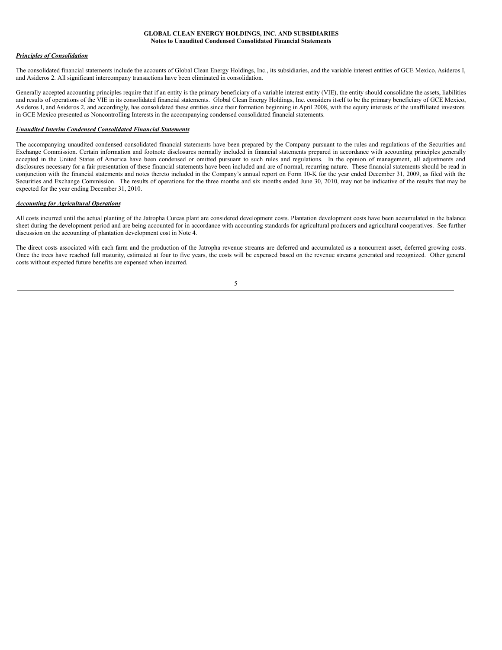## *Principles of Consolidation*

The consolidated financial statements include the accounts of Global Clean Energy Holdings, Inc., its subsidiaries, and the variable interest entities of GCE Mexico, Asideros I, and Asideros 2. All significant intercompany transactions have been eliminated in consolidation.

Generally accepted accounting principles require that if an entity is the primary beneficiary of a variable interest entity (VIE), the entity should consolidate the assets, liabilities and results of operations of the VIE in its consolidated financial statements. Global Clean Energy Holdings, Inc. considers itself to be the primary beneficiary of GCE Mexico, Asideros I, and Asideros 2, and accordingly, has consolidated these entities since their formation beginning in April 2008, with the equity interests of the unaffiliated investors in GCE Mexico presented as Noncontrolling Interests in the accompanying condensed consolidated financial statements.

## *Unaudited Interim Condensed Consolidated Financial Statements*

The accompanying unaudited condensed consolidated financial statements have been prepared by the Company pursuant to the rules and regulations of the Securities and Exchange Commission. Certain information and footnote disclosures normally included in financial statements prepared in accordance with accounting principles generally accepted in the United States of America have been condensed or omitted pursuant to such rules and regulations. In the opinion of management, all adjustments and disclosures necessary for a fair presentation of these financial statements have been included and are of normal, recurring nature. These financial statements should be read in conjunction with the financial statements and notes thereto included in the Company's annual report on Form 10-K for the year ended December 31, 2009, as filed with the Securities and Exchange Commission. The results of operations for the three months and six months ended June 30, 2010, may not be indicative of the results that may be expected for the year ending December 31, 2010.

#### *Accounting for Agricultural Operations*

All costs incurred until the actual planting of the Jatropha Curcas plant are considered development costs. Plantation development costs have been accumulated in the balance sheet during the development period and are being accounted for in accordance with accounting standards for agricultural producers and agricultural cooperatives. See further discussion on the accounting of plantation development cost in Note 4.

The direct costs associated with each farm and the production of the Jatropha revenue streams are deferred and accumulated as a noncurrent asset, deferred growing costs. Once the trees have reached full maturity, estimated at four to five years, the costs will be expensed based on the revenue streams generated and recognized. Other general costs without expected future benefits are expensed when incurred.

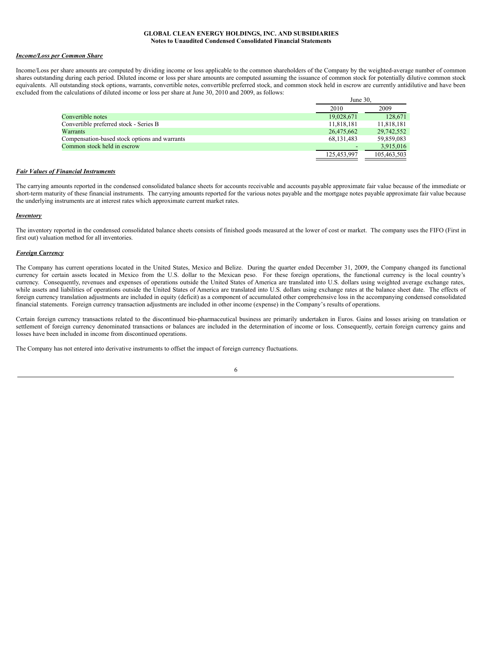#### *Income/Loss per Common Share*

Income/Loss per share amounts are computed by dividing income or loss applicable to the common shareholders of the Company by the weighted-average number of common shares outstanding during each period. Diluted income or loss per share amounts are computed assuming the issuance of common stock for potentially dilutive common stock equivalents. All outstanding stock options, warrants, convertible notes, convertible preferred stock, and common stock held in escrow are currently antidilutive and have been excluded from the calculations of diluted income or loss per share at June 30, 2010 and 2009, as follows:

|                                               | June 30.     |             |
|-----------------------------------------------|--------------|-------------|
|                                               | 2010         | 2009        |
| Convertible notes                             | 19,028,671   | 128,671     |
| Convertible preferred stock - Series B        | 11,818,181   | 11,818,181  |
| Warrants                                      | 26,475,662   | 29,742,552  |
| Compensation-based stock options and warrants | 68, 131, 483 | 59,859,083  |
| Common stock held in escrow                   |              | 3,915,016   |
|                                               | 125,453,997  | 105,463,503 |

## *Fair Values of Financial Instruments*

The carrying amounts reported in the condensed consolidated balance sheets for accounts receivable and accounts payable approximate fair value because of the immediate or short-term maturity of these financial instruments. The carrying amounts reported for the various notes payable and the mortgage notes payable approximate fair value because the underlying instruments are at interest rates which approximate current market rates.

### *Inventory*

The inventory reported in the condensed consolidated balance sheets consists of finished goods measured at the lower of cost or market. The company uses the FIFO (First in first out) valuation method for all inventories.

#### *Foreign Currency*

The Company has current operations located in the United States, Mexico and Belize. During the quarter ended December 31, 2009, the Company changed its functional currency for certain assets located in Mexico from the U.S. dollar to the Mexican peso. For these foreign operations, the functional currency is the local country's currency. Consequently, revenues and expenses of operations outside the United States of America are translated into U.S. dollars using weighted average exchange rates, while assets and liabilities of operations outside the United States of America are translated into U.S. dollars using exchange rates at the balance sheet date. The effects of foreign currency translation adjustments are included in equity (deficit) as a component of accumulated other comprehensive loss in the accompanying condensed consolidated financial statements. Foreign currency transaction adjustments are included in other income (expense) in the Company's results of operations.

Certain foreign currency transactions related to the discontinued bio-pharmaceutical business are primarily undertaken in Euros. Gains and losses arising on translation or settlement of foreign currency denominated transactions or balances are included in the determination of income or loss. Consequently, certain foreign currency gains and losses have been included in income from discontinued operations.

The Company has not entered into derivative instruments to offset the impact of foreign currency fluctuations.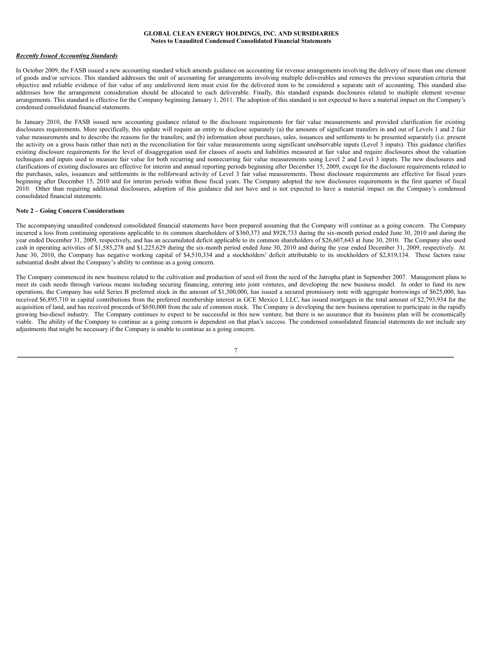#### *Recently Issued Accounting Standards*

In October 2009, the FASB issued a new accounting standard which amends guidance on accounting for revenue arrangements involving the delivery of more than one element of goods and/or services. This standard addresses the unit of accounting for arrangements involving multiple deliverables and removes the previous separation criteria that objective and reliable evidence of fair value of any undelivered item must exist for the delivered item to be considered a separate unit of accounting. This standard also addresses how the arrangement consideration should be allocated to each deliverable. Finally, this standard expands disclosures related to multiple element revenue arrangements. This standard is effective for the Company beginning January 1, 2011. The adoption of this standard is not expected to have a material impact on the Company's condensed consolidated financial statements.

In January 2010, the FASB issued new accounting guidance related to the disclosure requirements for fair value measurements and provided clarification for existing disclosures requirements. More specifically, this update will require an entity to disclose separately (a) the amounts of significant transfers in and out of Levels 1 and 2 fair value measurements and to describe the reasons for the transfers; and (b) information about purchases, sales, issuances and settlements to be presented separately (i.e. present the activity on a gross basis rather than net) in the reconciliation for fair value measurements using significant unobservable inputs (Level 3 inputs). This guidance clarifies existing disclosure requirements for the level of disaggregation used for classes of assets and liabilities measured at fair value and require disclosures about the valuation techniques and inputs used to measure fair value for both recurring and nonrecurring fair value measurements using Level 2 and Level 3 inputs. The new disclosures and clarifications of existing disclosures are effective for interim and annual reporting periods beginning after December 15, 2009, except for the disclosure requirements related to the purchases, sales, issuances and settlements in the rollforward activity of Level 3 fair value measurements. Those disclosure requirements are effective for fiscal years beginning after December 15, 2010 and for interim periods within those fiscal years. The Company adopted the new disclosures requirements in the first quarter of fiscal 2010. Other than requiring additional disclosures, adoption of this guidance did not have and is not expected to have a material impact on the Company's condensed consolidated financial statements.

### **Note 2 – Going Concern Considerations**

The accompanying unaudited condensed consolidated financial statements have been prepared assuming that the Company will continue as a going concern. The Company incurred a loss from continuing operations applicable to its common shareholders of \$360,373 and \$928,733 during the six-month period ended June 30, 2010 and during the year ended December 31, 2009, respectively, and has an accumulated deficit applicable to its common shareholders of \$26,607,643 at June 30, 2010. The Company also used cash in operating activities of \$1,585,278 and \$1,225,629 during the six-month period ended June 30, 2010 and during the year ended December 31, 2009, respectively. At June 30, 2010, the Company has negative working capital of \$4,510,334 and a stockholders' deficit attributable to its stockholders of \$2,819,134. These factors raise substantial doubt about the Company's ability to continue as a going concern.

The Company commenced its new business related to the cultivation and production of seed oil from the seed of the Jatropha plant in September 2007. Management plans to meet its cash needs through various means including securing financing, entering into joint ventures, and developing the new business model. In order to fund its new operations, the Company has sold Series B preferred stock in the amount of \$1,300,000, has issued a secured promissory note with aggregate borrowings of \$625,000, has received \$6,895,710 in capital contributions from the preferred membership interest in GCE Mexico I, LLC, has issued mortgages in the total amount of \$2,793,934 for the acquisition of land, and has received proceeds of \$650,000 from the sale of common stock. The Company is developing the new business operation to participate in the rapidly growing bio-diesel industry. The Company continues to expect to be successful in this new venture, but there is no assurance that its business plan will be economically viable. The ability of the Company to continue as a going concern is dependent on that plan's success. The condensed consolidated financial statements do not include any adjustments that might be necessary if the Company is unable to continue as a going concern.

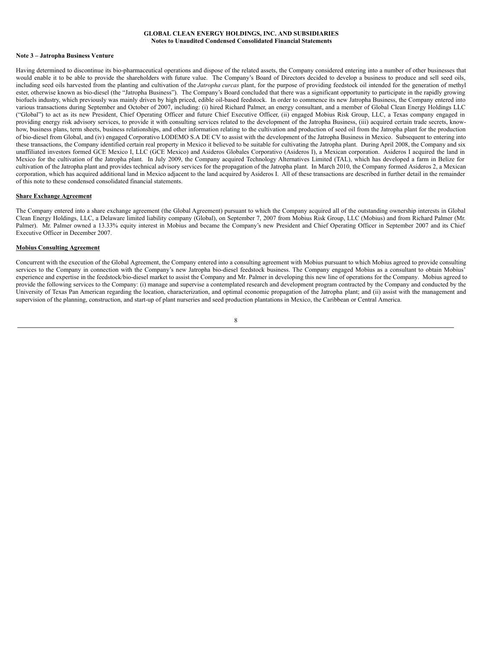#### **Note 3 – Jatropha Business Venture**

Having determined to discontinue its bio-pharmaceutical operations and dispose of the related assets, the Company considered entering into a number of other businesses that would enable it to be able to provide the shareholders with future value. The Company's Board of Directors decided to develop a business to produce and sell seed oils, including seed oils harvested from the planting and cultivation of the *Jatropha curcas* plant, for the purpose of providing feedstock oil intended for the generation of methyl ester, otherwise known as bio-diesel (the "Jatropha Business"). The Company's Board concluded that there was a significant opportunity to participate in the rapidly growing biofuels industry, which previously was mainly driven by high priced, edible oil-based feedstock. In order to commence its new Jatropha Business, the Company entered into various transactions during September and October of 2007, including: (i) hired Richard Palmer, an energy consultant, and a member of Global Clean Energy Holdings LLC ("Global") to act as its new President, Chief Operating Officer and future Chief Executive Officer, (ii) engaged Mobius Risk Group, LLC, a Texas company engaged in providing energy risk advisory services, to provide it with consulting services related to the development of the Jatropha Business, (iii) acquired certain trade secrets, knowhow, business plans, term sheets, business relationships, and other information relating to the cultivation and production of seed oil from the Jatropha plant for the production of bio-diesel from Global, and (iv) engaged Corporativo LODEMO S.A DE CV to assist with the development of the Jatropha Business in Mexico. Subsequent to entering into these transactions, the Company identified certain real property in Mexico it believed to be suitable for cultivating the Jatropha plant. During April 2008, the Company and six unaffiliated investors formed GCE Mexico I, LLC (GCE Mexico) and Asideros Globales Corporativo (Asideros I), a Mexican corporation. Asideros I acquired the land in Mexico for the cultivation of the Jatropha plant. In July 2009, the Company acquired Technology Alternatives Limited (TAL), which has developed a farm in Belize for cultivation of the Jatropha plant and provides technical advisory services for the propagation of the Jatropha plant. In March 2010, the Company formed Asideros 2, a Mexican corporation, which has acquired additional land in Mexico adjacent to the land acquired by Asideros I. All of these transactions are described in further detail in the remainder of this note to these condensed consolidated financial statements.

#### **Share Exchange Agreement**

The Company entered into a share exchange agreement (the Global Agreement) pursuant to which the Company acquired all of the outstanding ownership interests in Global Clean Energy Holdings, LLC, a Delaware limited liability company (Global), on September 7, 2007 from Mobius Risk Group, LLC (Mobius) and from Richard Palmer (Mr. Palmer). Mr. Palmer owned a 13.33% equity interest in Mobius and became the Company's new President and Chief Operating Officer in September 2007 and its Chief Executive Officer in December 2007.

## **Mobius Consulting Agreement**

Concurrent with the execution of the Global Agreement, the Company entered into a consulting agreement with Mobius pursuant to which Mobius agreed to provide consulting services to the Company in connection with the Company's new Jatropha bio-diesel feedstock business. The Company engaged Mobius as a consultant to obtain Mobius' experience and expertise in the feedstock/bio-diesel market to assist the Company and Mr. Palmer in developing this new line of operations for the Company. Mobius agreed to provide the following services to the Company: (i) manage and supervise a contemplated research and development program contracted by the Company and conducted by the University of Texas Pan American regarding the location, characterization, and optimal economic propagation of the Jatropha plant; and (ii) assist with the management and supervision of the planning, construction, and start-up of plant nurseries and seed production plantations in Mexico, the Caribbean or Central America.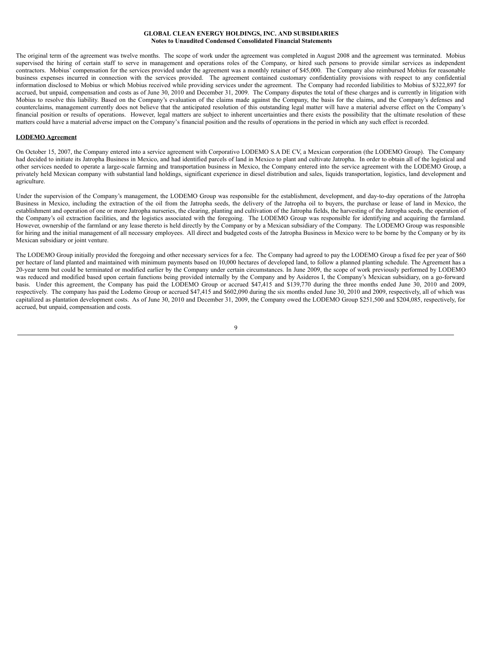The original term of the agreement was twelve months. The scope of work under the agreement was completed in August 2008 and the agreement was terminated. Mobius supervised the hiring of certain staff to serve in management and operations roles of the Company, or hired such persons to provide similar services as independent contractors. Mobius' compensation for the services provided under the agreement was a monthly retainer of \$45,000. The Company also reimbursed Mobius for reasonable business expenses incurred in connection with the services provided. The agreement contained customary confidentiality provisions with respect to any confidential information disclosed to Mobius or which Mobius received while providing services under the agreement. The Company had recorded liabilities to Mobius of \$322,897 for accrued, but unpaid, compensation and costs as of June 30, 2010 and December 31, 2009. The Company disputes the total of these charges and is currently in litigation with Mobius to resolve this liability. Based on the Company's evaluation of the claims made against the Company, the basis for the claims, and the Company's defenses and counterclaims, management currently does not believe that the anticipated resolution of this outstanding legal matter will have a material adverse effect on the Company's financial position or results of operations. However, legal matters are subject to inherent uncertainties and there exists the possibility that the ultimate resolution of these matters could have a material adverse impact on the Company's financial position and the results of operations in the period in which any such effect is recorded.

## **LODEMO Agreement**

On October 15, 2007, the Company entered into a service agreement with Corporativo LODEMO S.A DE CV, a Mexican corporation (the LODEMO Group). The Company had decided to initiate its Jatropha Business in Mexico, and had identified parcels of land in Mexico to plant and cultivate Jatropha. In order to obtain all of the logistical and other services needed to operate a large-scale farming and transportation business in Mexico, the Company entered into the service agreement with the LODEMO Group, a privately held Mexican company with substantial land holdings, significant experience in diesel distribution and sales, liquids transportation, logistics, land development and agriculture.

Under the supervision of the Company's management, the LODEMO Group was responsible for the establishment, development, and day-to-day operations of the Jatropha Business in Mexico, including the extraction of the oil from the Jatropha seeds, the delivery of the Jatropha oil to buyers, the purchase or lease of land in Mexico, the establishment and operation of one or more Jatropha nurseries, the clearing, planting and cultivation of the Jatropha fields, the harvesting of the Jatropha seeds, the operation of the Company's oil extraction facilities, and the logistics associated with the foregoing. The LODEMO Group was responsible for identifying and acquiring the farmland. However, ownership of the farmland or any lease thereto is held directly by the Company or by a Mexican subsidiary of the Company. The LODEMO Group was responsible for hiring and the initial management of all necessary employees. All direct and budgeted costs of the Jatropha Business in Mexico were to be borne by the Company or by its Mexican subsidiary or joint venture.

The LODEMO Group initially provided the foregoing and other necessary services for a fee. The Company had agreed to pay the LODEMO Group a fixed fee per year of \$60 per hectare of land planted and maintained with minimum payments based on 10,000 hectares of developed land, to follow a planned planting schedule. The Agreement has a 20-year term but could be terminated or modified earlier by the Company under certain circumstances. In June 2009, the scope of work previously performed by LODEMO was reduced and modified based upon certain functions being provided internally by the Company and by Asideros I, the Company's Mexican subsidiary, on a go-forward basis. Under this agreement, the Company has paid the LODEMO Group or accrued \$47,415 and \$139,770 during the three months ended June 30, 2010 and 2009, respectively. The company has paid the Lodemo Group or accrued \$47,415 and \$602,090 during the six months ended June 30, 2010 and 2009, respectively, all of which was capitalized as plantation development costs. As of June 30, 2010 and December 31, 2009, the Company owed the LODEMO Group \$251,500 and \$204,085, respectively, for accrued, but unpaid, compensation and costs.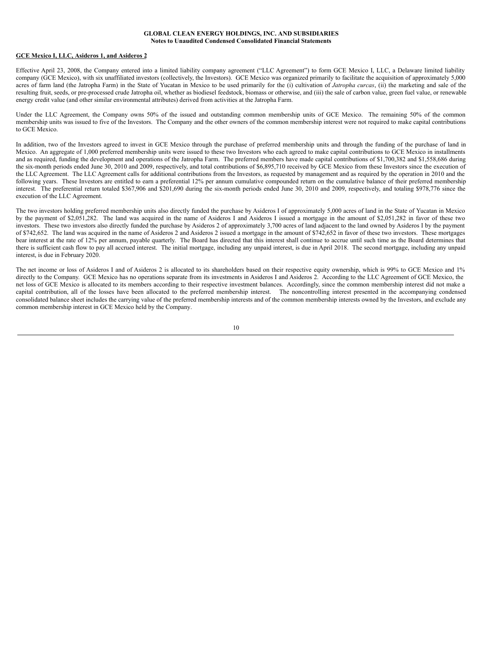## **GCE Mexico I, LLC, Asideros 1, and Asideros 2**

Effective April 23, 2008, the Company entered into a limited liability company agreement ("LLC Agreement") to form GCE Mexico I, LLC, a Delaware limited liability company (GCE Mexico), with six unaffiliated investors (collectively, the Investors). GCE Mexico was organized primarily to facilitate the acquisition of approximately 5,000 acres of farm land (the Jatropha Farm) in the State of Yucatan in Mexico to be used primarily for the (i) cultivation of *Jatropha curcas*, (ii) the marketing and sale of the resulting fruit, seeds, or pre-processed crude Jatropha oil, whether as biodiesel feedstock, biomass or otherwise, and (iii) the sale of carbon value, green fuel value, or renewable energy credit value (and other similar environmental attributes) derived from activities at the Jatropha Farm.

Under the LLC Agreement, the Company owns 50% of the issued and outstanding common membership units of GCE Mexico. The remaining 50% of the common membership units was issued to five of the Investors. The Company and the other owners of the common membership interest were not required to make capital contributions to GCE Mexico.

In addition, two of the Investors agreed to invest in GCE Mexico through the purchase of preferred membership units and through the funding of the purchase of land in Mexico. An aggregate of 1,000 preferred membership units were issued to these two Investors who each agreed to make capital contributions to GCE Mexico in installments and as required, funding the development and operations of the Jatropha Farm. The preferred members have made capital contributions of \$1,700,382 and \$1,558,686 during the six-month periods ended June 30, 2010 and 2009, respectively, and total contributions of \$6,895,710 received by GCE Mexico from these Investors since the execution of the LLC Agreement. The LLC Agreement calls for additional contributions from the Investors, as requested by management and as required by the operation in 2010 and the following years. These Investors are entitled to earn a preferential 12% per annum cumulative compounded return on the cumulative balance of their preferred membership interest. The preferential return totaled \$367,906 and \$201,690 during the six-month periods ended June 30, 2010 and 2009, respectively, and totaling \$978,776 since the execution of the LLC Agreement.

The two investors holding preferred membership units also directly funded the purchase by Asideros I of approximately 5,000 acres of land in the State of Yucatan in Mexico by the payment of \$2,051,282. The land was acquired in the name of Asideros I and Asideros I issued a mortgage in the amount of \$2,051,282 in favor of these two investors. These two investors also directly funded the purchase by Asideros 2 of approximately 3,700 acres of land adjacent to the land owned by Asideros I by the payment of \$742,652. The land was acquired in the name of Asideros 2 and Asideros 2 issued a mortgage in the amount of \$742,652 in favor of these two investors. These mortgages bear interest at the rate of 12% per annum, payable quarterly. The Board has directed that this interest shall continue to accrue until such time as the Board determines that there is sufficient cash flow to pay all accrued interest. The initial mortgage, including any unpaid interest, is due in April 2018. The second mortgage, including any unpaid interest, is due in February 2020.

The net income or loss of Asideros I and of Asideros 2 is allocated to its shareholders based on their respective equity ownership, which is 99% to GCE Mexico and 1% directly to the Company. GCE Mexico has no operations separate from its investments in Asideros I and Asideros 2. According to the LLC Agreement of GCE Mexico, the net loss of GCE Mexico is allocated to its members according to their respective investment balances. Accordingly, since the common membership interest did not make a capital contribution, all of the losses have been allocated to the preferred membership interest. The noncontrolling interest presented in the accompanying condensed consolidated balance sheet includes the carrying value of the preferred membership interests and of the common membership interests owned by the Investors, and exclude any common membership interest in GCE Mexico held by the Company.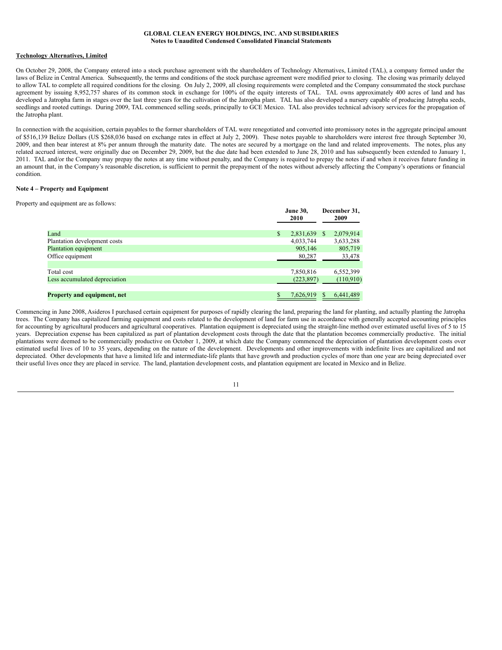### **Technology Alternatives, Limited**

On October 29, 2008, the Company entered into a stock purchase agreement with the shareholders of Technology Alternatives, Limited (TAL), a company formed under the laws of Belize in Central America. Subsequently, the terms and conditions of the stock purchase agreement were modified prior to closing. The closing was primarily delayed to allow TAL to complete all required conditions for the closing. On July 2, 2009, all closing requirements were completed and the Company consummated the stock purchase agreement by issuing 8,952,757 shares of its common stock in exchange for 100% of the equity interests of TAL. TAL owns approximately 400 acres of land and has developed a Jatropha farm in stages over the last three years for the cultivation of the Jatropha plant. TAL has also developed a nursery capable of producing Jatropha seeds, seedlings and rooted cuttings. During 2009, TAL commenced selling seeds, principally to GCE Mexico. TAL also provides technical advisory services for the propagation of the Jatropha plant.

In connection with the acquisition, certain payables to the former shareholders of TAL were renegotiated and converted into promissory notes in the aggregate principal amount of \$516,139 Belize Dollars (US \$268,036 based on exchange rates in effect at July 2, 2009). These notes payable to shareholders were interest free through September 30, 2009, and then bear interest at 8% per annum through the maturity date. The notes are secured by a mortgage on the land and related improvements. The notes, plus any related accrued interest, were originally due on December 29, 2009, but the due date had been extended to June 28, 2010 and has subsequently been extended to January 1, 2011. TAL and/or the Company may prepay the notes at any time without penalty, and the Company is required to prepay the notes if and when it receives future funding in an amount that, in the Company's reasonable discretion, is sufficient to permit the prepayment of the notes without adversely affecting the Company's operations or financial condition.

## **Note 4 – Property and Equipment**

Property and equipment are as follows:

|                                    | <b>June 30,</b><br>2010 |            | December 31,<br>2009 |           |  |
|------------------------------------|-------------------------|------------|----------------------|-----------|--|
| Land                               | \$                      | 2,831,639  | -S                   | 2,079,914 |  |
| Plantation development costs       |                         | 4,033,744  |                      | 3,633,288 |  |
| Plantation equipment               |                         | 905,146    |                      | 805,719   |  |
| Office equipment                   |                         | 80,287     |                      | 33,478    |  |
|                                    |                         |            |                      |           |  |
| Total cost                         |                         | 7,850,816  |                      | 6,552,399 |  |
| Less accumulated depreciation      |                         | (223, 897) |                      | (110,910) |  |
|                                    |                         |            |                      |           |  |
| <b>Property and equipment, net</b> |                         | 7,626,919  |                      | 6,441,489 |  |

Commencing in June 2008, Asideros I purchased certain equipment for purposes of rapidly clearing the land, preparing the land for planting, and actually planting the Jatropha trees. The Company has capitalized farming equipment and costs related to the development of land for farm use in accordance with generally accepted accounting principles for accounting by agricultural producers and agricultural cooperatives. Plantation equipment is depreciated using the straight-line method over estimated useful lives of 5 to 15 years. Depreciation expense has been capitalized as part of plantation development costs through the date that the plantation becomes commercially productive. The initial plantations were deemed to be commercially productive on October 1, 2009, at which date the Company commenced the depreciation of plantation development costs over estimated useful lives of 10 to 35 years, depending on the nature of the development. Developments and other improvements with indefinite lives are capitalized and not depreciated. Other developments that have a limited life and intermediate-life plants that have growth and production cycles of more than one year are being depreciated over their useful lives once they are placed in service. The land, plantation development costs, and plantation equipment are located in Mexico and in Belize.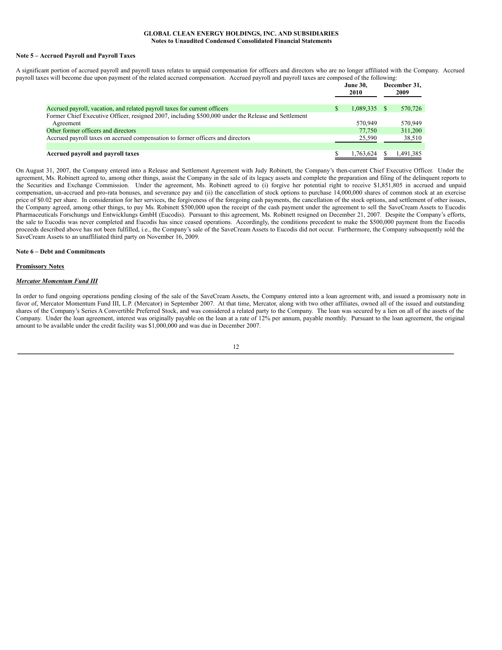#### **Note 5 – Accrued Payroll and Payroll Taxes**

A significant portion of accrued payroll and payroll taxes relates to unpaid compensation for officers and directors who are no longer affiliated with the Company. Accrued payroll taxes will become due upon payment of the related accrued compensation. Accrued payroll and payroll taxes are composed of the following:

|                                                                                                     |    | <b>June 30.</b><br>2010 | December 31,<br>2009 |
|-----------------------------------------------------------------------------------------------------|----|-------------------------|----------------------|
| Accrued payroll, vacation, and related payroll taxes for current officers                           | S. | 1.089.335               | 570,726              |
| Former Chief Executive Officer, resigned 2007, including \$500,000 under the Release and Settlement |    |                         |                      |
| Agreement                                                                                           |    | 570,949                 | 570,949              |
| Other former officers and directors                                                                 |    | 77.750                  | 311,200              |
| Accrued payroll taxes on accrued compensation to former officers and directors                      |    | 25,590                  | 38,510               |
|                                                                                                     |    |                         |                      |
| Accrued payroll and payroll taxes                                                                   |    | 1.763.624               | 1,491,385            |

On August 31, 2007, the Company entered into a Release and Settlement Agreement with Judy Robinett, the Company's then-current Chief Executive Officer. Under the agreement, Ms. Robinett agreed to, among other things, assist the Company in the sale of its legacy assets and complete the preparation and filing of the delinquent reports to the Securities and Exchange Commission. Under the agreement, Ms. Robinett agreed to (i) forgive her potential right to receive \$1,851,805 in accrued and unpaid compensation, un-accrued and pro-rata bonuses, and severance pay and (ii) the cancellation of stock options to purchase 14,000,000 shares of common stock at an exercise price of \$0.02 per share. In consideration for her services, the forgiveness of the foregoing cash payments, the cancellation of the stock options, and settlement of other issues, the Company agreed, among other things, to pay Ms. Robinett \$500,000 upon the receipt of the cash payment under the agreement to sell the SaveCream Assets to Eucodis Pharmaceuticals Forschungs und Entwicklungs GmbH (Eucodis). Pursuant to this agreement, Ms. Robinett resigned on December 21, 2007. Despite the Company's efforts, the sale to Eucodis was never completed and Eucodis has since ceased operations. Accordingly, the conditions precedent to make the \$500,000 payment from the Eucodis proceeds described above has not been fulfilled, i.e., the Company's sale of the SaveCream Assets to Eucodis did not occur. Furthermore, the Company subsequently sold the SaveCream Assets to an unaffiliated third party on November 16, 2009.

## **Note 6 – Debt and Commitments**

**Promissory Notes**

#### *Mercator Momentum Fund III*

In order to fund ongoing operations pending closing of the sale of the SaveCream Assets, the Company entered into a loan agreement with, and issued a promissory note in favor of, Mercator Momentum Fund III, L.P. (Mercator) in September 2007. At that time, Mercator, along with two other affiliates, owned all of the issued and outstanding shares of the Company's Series A Convertible Preferred Stock, and was considered a related party to the Company. The loan was secured by a lien on all of the assets of the Company. Under the loan agreement, interest was originally payable on the loan at a rate of 12% per annum, payable monthly. Pursuant to the loan agreement, the original amount to be available under the credit facility was \$1,000,000 and was due in December 2007.

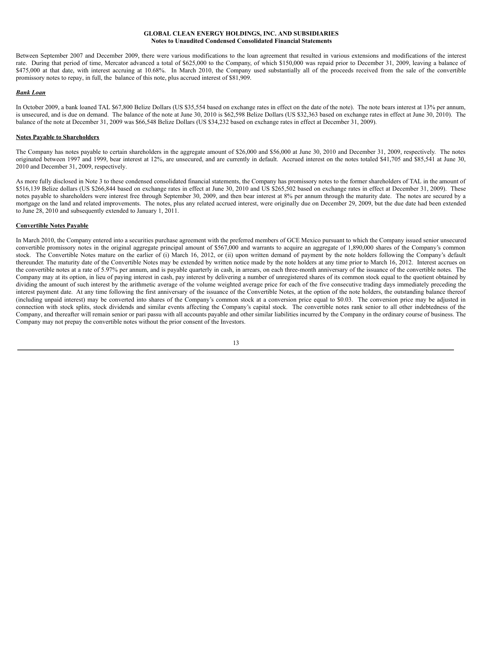Between September 2007 and December 2009, there were various modifications to the loan agreement that resulted in various extensions and modifications of the interest rate. During that period of time, Mercator advanced a total of \$625,000 to the Company, of which \$150,000 was repaid prior to December 31, 2009, leaving a balance of \$475,000 at that date, with interest accruing at 10.68%. In March 2010, the Company used substantially all of the proceeds received from the sale of the convertible promissory notes to repay, in full, the balance of this note, plus accrued interest of \$81,909.

## *Bank Loan*

In October 2009, a bank loaned TAL \$67,800 Belize Dollars (US \$35,554 based on exchange rates in effect on the date of the note). The note bears interest at 13% per annum, is unsecured, and is due on demand. The balance of the note at June 30, 2010 is \$62,598 Belize Dollars (US \$32,363 based on exchange rates in effect at June 30, 2010). The balance of the note at December 31, 2009 was \$66,548 Belize Dollars (US \$34,232 based on exchange rates in effect at December 31, 2009).

## **Notes Payable to Shareholders**

The Company has notes payable to certain shareholders in the aggregate amount of \$26,000 and \$56,000 at June 30, 2010 and December 31, 2009, respectively. The notes originated between 1997 and 1999, bear interest at 12%, are unsecured, and are currently in default. Accrued interest on the notes totaled \$41,705 and \$85,541 at June 30, 2010 and December 31, 2009, respectively.

As more fully disclosed in Note 3 to these condensed consolidated financial statements, the Company has promissory notes to the former shareholders of TAL in the amount of \$516,139 Belize dollars (US \$266,844 based on exchange rates in effect at June 30, 2010 and US \$265,502 based on exchange rates in effect at December 31, 2009). These notes payable to shareholders were interest free through September 30, 2009, and then bear interest at 8% per annum through the maturity date. The notes are secured by a mortgage on the land and related improvements. The notes, plus any related accrued interest, were originally due on December 29, 2009, but the due date had been extended to June 28, 2010 and subsequently extended to January 1, 2011.

## **Convertible Notes Payable**

In March 2010, the Company entered into a securities purchase agreement with the preferred members of GCE Mexico pursuant to which the Company issued senior unsecured convertible promissory notes in the original aggregate principal amount of \$567,000 and warrants to acquire an aggregate of 1,890,000 shares of the Company's common stock. The Convertible Notes mature on the earlier of (i) March 16, 2012, or (ii) upon written demand of payment by the note holders following the Company's default thereunder. The maturity date of the Convertible Notes may be extended by written notice made by the note holders at any time prior to March 16, 2012. Interest accrues on the convertible notes at a rate of 5.97% per annum, and is payable quarterly in cash, in arrears, on each three-month anniversary of the issuance of the convertible notes. The Company may at its option, in lieu of paying interest in cash, pay interest by delivering a number of unregistered shares of its common stock equal to the quotient obtained by dividing the amount of such interest by the arithmetic average of the volume weighted average price for each of the five consecutive trading days immediately preceding the interest payment date. At any time following the first anniversary of the issuance of the Convertible Notes, at the option of the note holders, the outstanding balance thereof (including unpaid interest) may be converted into shares of the Company's common stock at a conversion price equal to \$0.03. The conversion price may be adjusted in connection with stock splits, stock dividends and similar events affecting the Company's capital stock. The convertible notes rank senior to all other indebtedness of the Company, and thereafter will remain senior or pari passu with all accounts payable and other similar liabilities incurred by the Company in the ordinary course of business. The Company may not prepay the convertible notes without the prior consent of the Investors.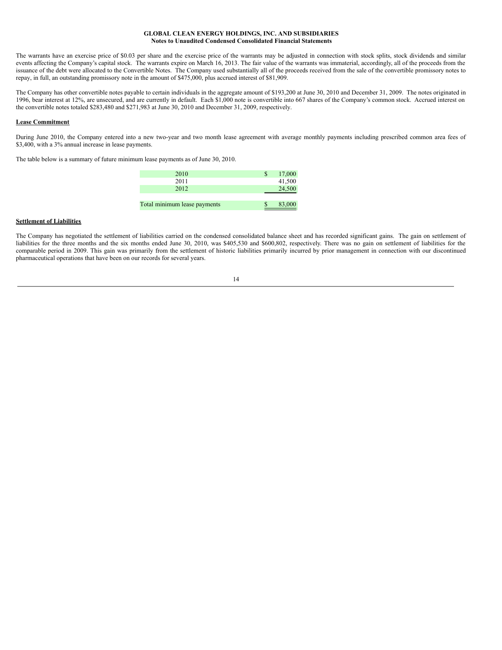The warrants have an exercise price of \$0.03 per share and the exercise price of the warrants may be adjusted in connection with stock splits, stock dividends and similar events affecting the Company's capital stock. The warrants expire on March 16, 2013. The fair value of the warrants was immaterial, accordingly, all of the proceeds from the issuance of the debt were allocated to the Convertible Notes. The Company used substantially all of the proceeds received from the sale of the convertible promissory notes to repay, in full, an outstanding promissory note in the amount of \$475,000, plus accrued interest of \$81,909.

The Company has other convertible notes payable to certain individuals in the aggregate amount of \$193,200 at June 30, 2010 and December 31, 2009. The notes originated in 1996, bear interest at 12%, are unsecured, and are currently in default. Each \$1,000 note is convertible into 667 shares of the Company's common stock. Accrued interest on the convertible notes totaled \$283,480 and \$271,983 at June 30, 2010 and December 31, 2009, respectively.

#### **Lease Commitment**

During June 2010, the Company entered into a new two-year and two month lease agreement with average monthly payments including prescribed common area fees of \$3,400, with a 3% annual increase in lease payments.

The table below is a summary of future minimum lease payments as of June 30, 2010.

| 2010                         | 17,000 |
|------------------------------|--------|
| 2011                         | 41,500 |
| 2012                         | 24,500 |
|                              |        |
| Total minimum lease payments | 83,000 |

## **Settlement of Liabilities**

The Company has negotiated the settlement of liabilities carried on the condensed consolidated balance sheet and has recorded significant gains. The gain on settlement of liabilities for the three months and the six months ended June 30, 2010, was \$405,530 and \$600,802, respectively. There was no gain on settlement of liabilities for the comparable period in 2009. This gain was primarily from the settlement of historic liabilities primarily incurred by prior management in connection with our discontinued pharmaceutical operations that have been on our records for several years.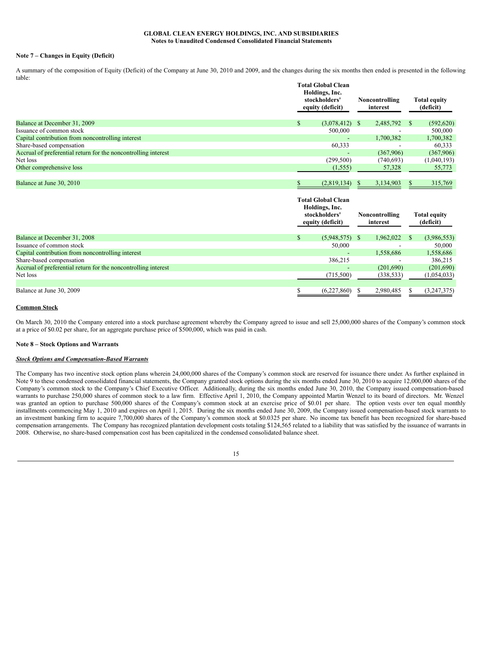#### **Note 7 – Changes in Equity (Deficit)**

A summary of the composition of Equity (Deficit) of the Company at June 30, 2010 and 2009, and the changes during the six months then ended is presented in the following table:

|                                                                | <b>Total Global Clean</b><br>Holdings, Inc.<br>stockholders'<br>equity (deficit) |                          | Noncontrolling<br>interest |           |    | <b>Total equity</b><br>(deficit) |
|----------------------------------------------------------------|----------------------------------------------------------------------------------|--------------------------|----------------------------|-----------|----|----------------------------------|
| Balance at December 31, 2009                                   | S                                                                                | $(3,078,412)$ \$         |                            | 2,485,792 | S. | (592, 620)                       |
| Issuance of common stock                                       |                                                                                  | 500,000                  |                            |           |    | 500,000                          |
| Capital contribution from noncontrolling interest              |                                                                                  | $\overline{\phantom{0}}$ |                            | 1,700,382 |    | 1,700,382                        |
| Share-based compensation                                       |                                                                                  | 60,333                   |                            |           |    | 60.333                           |
| Accrual of preferential return for the noncontrolling interest |                                                                                  | -                        |                            | (367,906) |    | (367,906)                        |
| Net loss                                                       |                                                                                  | (299, 500)               |                            | (740,693) |    | (1,040,193)                      |
| Other comprehensive loss                                       |                                                                                  | (1, 555)                 |                            | 57,328    |    | 55,773                           |
|                                                                |                                                                                  |                          |                            |           |    |                                  |
| Balance at June 30, 2010                                       |                                                                                  | (2,819,134)              |                            | 3,134,903 |    | 315,769                          |

|                                                                | <b>Total Global Clean</b><br>Holdings, Inc.<br>stockholders'<br>equity (deficit) | Noncontrolling<br>interest | <b>Total equity</b><br>(deficit) |             |  |
|----------------------------------------------------------------|----------------------------------------------------------------------------------|----------------------------|----------------------------------|-------------|--|
| Balance at December 31, 2008                                   | \$<br>$(5,948,575)$ \$                                                           | 1,962,022                  | <sup>S</sup>                     | (3,986,553) |  |
| Issuance of common stock                                       | 50,000                                                                           |                            |                                  | 50,000      |  |
| Capital contribution from noncontrolling interest              | $\overline{\phantom{a}}$                                                         | 1,558,686                  |                                  | 1,558,686   |  |
| Share-based compensation                                       | 386,215                                                                          |                            |                                  | 386,215     |  |
| Accrual of preferential return for the noncontrolling interest | $\overline{\phantom{a}}$                                                         | (201,690)                  |                                  | (201,690)   |  |
| Net loss                                                       | (715,500)                                                                        | (338, 533)                 |                                  | (1,054,033) |  |
|                                                                |                                                                                  |                            |                                  |             |  |
| Balance at June 30, 2009                                       | (6,227,860)                                                                      | 2,980,485                  |                                  | (3,247,375) |  |

## **Common Stock**

On March 30, 2010 the Company entered into a stock purchase agreement whereby the Company agreed to issue and sell 25,000,000 shares of the Company's common stock at a price of \$0.02 per share, for an aggregate purchase price of \$500,000, which was paid in cash.

### **Note 8 – Stock Options and Warrants**

#### *Stock Options and Compensation-Based Warrants*

The Company has two incentive stock option plans wherein 24,000,000 shares of the Company's common stock are reserved for issuance there under. As further explained in Note 9 to these condensed consolidated financial statements, the Company granted stock options during the six months ended June 30, 2010 to acquire 12,000,000 shares of the Company's common stock to the Company's Chief Executive Officer. Additionally, during the six months ended June 30, 2010, the Company issued compensation-based warrants to purchase 250,000 shares of common stock to a law firm. Effective April 1, 2010, the Company appointed Martin Wenzel to its board of directors. Mr. Wenzel was granted an option to purchase 500,000 shares of the Company's common stock at an exercise price of \$0.01 per share. The option vests over ten equal monthly installments commencing May 1, 2010 and expires on April 1, 2015. During the six months ended June 30, 2009, the Company issued compensation-based stock warrants to an investment banking firm to acquire 7,700,000 shares of the Company's common stock at \$0.0325 per share. No income tax benefit has been recognized for share-based compensation arrangements. The Company has recognized plantation development costs totaling \$124,565 related to a liability that was satisfied by the issuance of warrants in 2008. Otherwise, no share-based compensation cost has been capitalized in the condensed consolidated balance sheet.

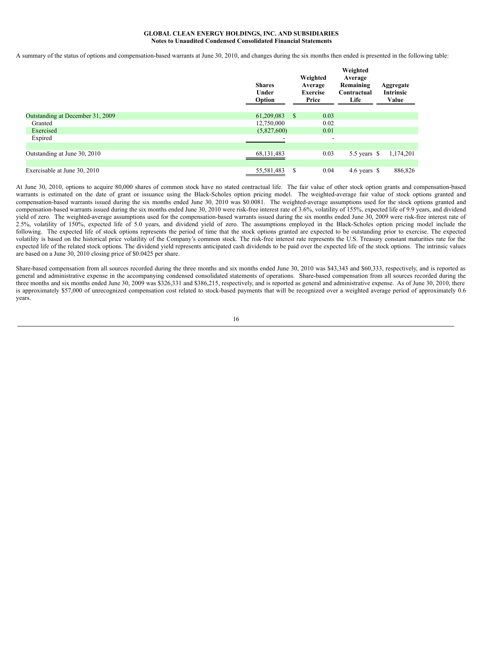A summary of the status of options and compensation-based warrants at June 30, 2010, and changes during the six months then ended is presented in the following table:

|                                  | <b>Shares</b><br>Under<br>Option | Weighted<br>Average<br><b>Exercise</b><br>Price | Weighted<br>Average<br>Remaining<br>Contractual<br>Life | Aggregate<br><b>Intrinsic</b><br>Value |  |
|----------------------------------|----------------------------------|-------------------------------------------------|---------------------------------------------------------|----------------------------------------|--|
| Outstanding at December 31, 2009 | 61,209,083                       | 0.03<br>- \$                                    |                                                         |                                        |  |
| Granted                          | 12,750,000                       | 0.02                                            |                                                         |                                        |  |
| Exercised                        | (5,827,600)                      | 0.01                                            |                                                         |                                        |  |
| Expired                          |                                  |                                                 | $\overline{\phantom{a}}$                                |                                        |  |
|                                  |                                  |                                                 |                                                         |                                        |  |
| Outstanding at June 30, 2010     | 68, 131, 483                     | 0.03                                            | 5.5 years $\$$                                          | 1,174,201                              |  |
|                                  |                                  |                                                 |                                                         |                                        |  |
| Exercisable at June 30, 2010     | 55,581,483                       | 0.04<br>S                                       | 4.6 years $\$                                           | 886,826                                |  |

At June 30, 2010, options to acquire 80,000 shares of common stock have no stated contractual life. The fair value of other stock option grants and compensation-based warrants is estimated on the date of grant or issuance using the Black-Scholes option pricing model. The weighted-average fair value of stock options granted and compensation-based warrants issued during the six months ended June 30, 2010 was \$0.0081. The weighted-average assumptions used for the stock options granted and compensation-based warrants issued during the six months ended June 30, 2010 were risk-free interest rate of 3.6%, volatility of 155%, expected life of 9.9 years, and dividend yield of zero. The weighted-average assumptions used for the compensation-based warrants issued during the six months ended June 30, 2009 were risk-free interest rate of 2.5%, volatility of 150%, expected life of 5.0 years, and dividend yield of zero. The assumptions employed in the Black-Scholes option pricing model include the following. The expected life of stock options represents the period of time that the stock options granted are expected to be outstanding prior to exercise. The expected volatility is based on the historical price volatility of the Company's common stock. The risk-free interest rate represents the U.S. Treasury constant maturities rate for the expected life of the related stock options. The dividend yield represents anticipated cash dividends to be paid over the expected life of the stock options. The intrinsic values are based on a June 30, 2010 closing price of \$0.0425 per share.

Share-based compensation from all sources recorded during the three months and six months ended June 30, 2010 was \$43,343 and \$60,333, respectively, and is reported as general and administrative expense in the accompanying condensed consolidated statements of operations. Share-based compensation from all sources recorded during the three months and six months ended June 30, 2009 was \$326,331 and \$386,215, respectively, and is reported as general and administrative expense. As of June 30, 2010, there is approximately \$57,000 of unrecognized compensation cost related to stock-based payments that will be recognized over a weighted average period of approximately 0.6 years.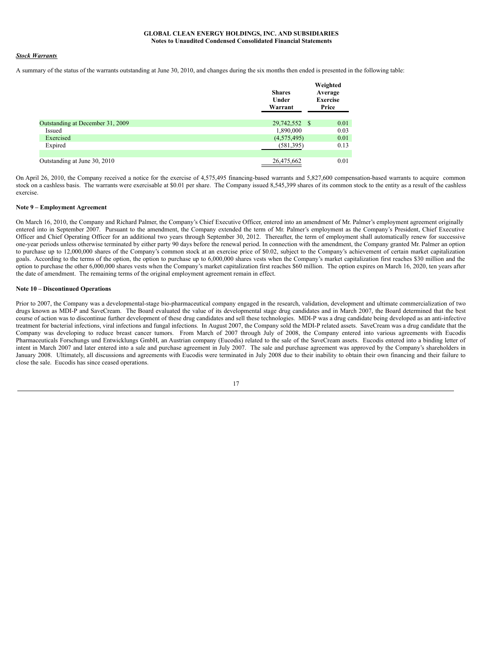#### *Stock Warrants*

A summary of the status of the warrants outstanding at June 30, 2010, and changes during the six months then ended is presented in the following table:

|                                  | <b>Shares</b><br>Under<br>Warrant | Weighted<br>Average<br><b>Exercise</b><br>Price |  |
|----------------------------------|-----------------------------------|-------------------------------------------------|--|
| Outstanding at December 31, 2009 | 29,742,552 \$                     | 0.01                                            |  |
| Issued                           | 1,890,000                         | 0.03                                            |  |
| Exercised                        | (4,575,495)                       | 0.01                                            |  |
| Expired                          | (581, 395)                        | 0.13                                            |  |
|                                  |                                   |                                                 |  |
| Outstanding at June 30, 2010     | 26,475,662                        | 0.01                                            |  |

On April 26, 2010, the Company received a notice for the exercise of 4,575,495 financing-based warrants and 5,827,600 compensation-based warrants to acquire common stock on a cashless basis. The warrants were exercisable at \$0.01 per share. The Company issued 8,545,399 shares of its common stock to the entity as a result of the cashless exercise.

#### **Note 9 – Employment Agreement**

On March 16, 2010, the Company and Richard Palmer, the Company's Chief Executive Officer, entered into an amendment of Mr. Palmer's employment agreement originally entered into in September 2007. Pursuant to the amendment, the Company extended the term of Mr. Palmer's employment as the Company's President, Chief Executive Officer and Chief Operating Officer for an additional two years through September 30, 2012. Thereafter, the term of employment shall automatically renew for successive one-year periods unless otherwise terminated by either party 90 days before the renewal period. In connection with the amendment, the Company granted Mr. Palmer an option to purchase up to 12,000,000 shares of the Company's common stock at an exercise price of \$0.02, subject to the Company's achievement of certain market capitalization goals. According to the terms of the option, the option to purchase up to 6,000,000 shares vests when the Company's market capitalization first reaches \$30 million and the option to purchase the other 6,000,000 shares vests when the Company's market capitalization first reaches \$60 million. The option expires on March 16, 2020, ten years after the date of amendment. The remaining terms of the original employment agreement remain in effect.

## **Note 10 – Discontinued Operations**

Prior to 2007, the Company was a developmental-stage bio-pharmaceutical company engaged in the research, validation, development and ultimate commercialization of two drugs known as MDI-P and SaveCream. The Board evaluated the value of its developmental stage drug candidates and in March 2007, the Board determined that the best course of action was to discontinue further development of these drug candidates and sell these technologies. MDI-P was a drug candidate being developed as an anti-infective treatment for bacterial infections, viral infections and fungal infections. In August 2007, the Company sold the MDI-P related assets. SaveCream was a drug candidate that the Company was developing to reduce breast cancer tumors. From March of 2007 through July of 2008, the Company entered into various agreements with Eucodis Pharmaceuticals Forschungs und Entwicklungs GmbH, an Austrian company (Eucodis) related to the sale of the SaveCream assets. Eucodis entered into a binding letter of intent in March 2007 and later entered into a sale and purchase agreement in July 2007. The sale and purchase agreement was approved by the Company's shareholders in January 2008. Ultimately, all discussions and agreements with Eucodis were terminated in July 2008 due to their inability to obtain their own financing and their failure to close the sale. Eucodis has since ceased operations.

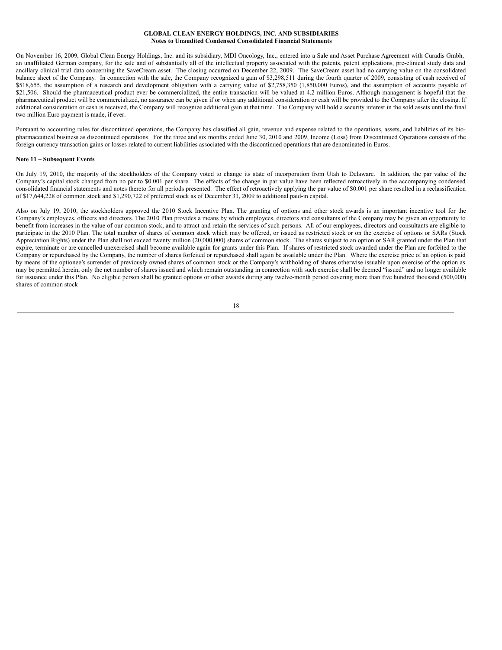On November 16, 2009, Global Clean Energy Holdings, Inc. and its subsidiary, MDI Oncology, Inc., entered into a Sale and Asset Purchase Agreement with Curadis Gmbh, an unaffiliated German company, for the sale and of substantially all of the intellectual property associated with the patents, patent applications, pre-clinical study data and ancillary clinical trial data concerning the SaveCream asset. The closing occurred on December 22, 2009. The SaveCream asset had no carrying value on the consolidated balance sheet of the Company. In connection with the sale, the Company recognized a gain of \$3,298,511 during the fourth quarter of 2009, consisting of cash received of \$518,655, the assumption of a research and development obligation with a carrying value of \$2,758,350 (1,850,000 Euros), and the assumption of accounts payable of \$21,506. Should the pharmaceutical product ever be commercialized, the entire transaction will be valued at 4.2 million Euros. Although management is hopeful that the pharmaceutical product will be commercialized, no assurance can be given if or when any additional consideration or cash will be provided to the Company after the closing. If additional consideration or cash is received, the Company will recognize additional gain at that time. The Company will hold a security interest in the sold assets until the final two million Euro payment is made, if ever.

Pursuant to accounting rules for discontinued operations, the Company has classified all gain, revenue and expense related to the operations, assets, and liabilities of its biopharmaceutical business as discontinued operations. For the three and six months ended June 30, 2010 and 2009, Income (Loss) from Discontinued Operations consists of the foreign currency transaction gains or losses related to current liabilities associated with the discontinued operations that are denominated in Euros.

## **Note 11 – Subsequent Events**

On July 19, 2010, the majority of the stockholders of the Company voted to change its state of incorporation from Utah to Delaware. In addition, the par value of the Company's capital stock changed from no par to \$0.001 per share. The effects of the change in par value have been reflected retroactively in the accompanying condensed consolidated financial statements and notes thereto for all periods presented. The effect of retroactively applying the par value of \$0.001 per share resulted in a reclassification of \$17,644,228 of common stock and \$1,290,722 of preferred stock as of December 31, 2009 to additional paid-in capital.

Also on July 19, 2010, the stockholders approved the 2010 Stock Incentive Plan. The granting of options and other stock awards is an important incentive tool for the Company's employees, officers and directors. The 2010 Plan provides a means by which employees, directors and consultants of the Company may be given an opportunity to benefit from increases in the value of our common stock, and to attract and retain the services of such persons. All of our employees, directors and consultants are eligible to participate in the 2010 Plan. The total number of shares of common stock which may be offered, or issued as restricted stock or on the exercise of options or SARs (Stock Appreciation Rights) under the Plan shall not exceed twenty million (20,000,000) shares of common stock. The shares subject to an option or SAR granted under the Plan that expire, terminate or are cancelled unexercised shall become available again for grants under this Plan. If shares of restricted stock awarded under the Plan are forfeited to the Company or repurchased by the Company, the number of shares forfeited or repurchased shall again be available under the Plan. Where the exercise price of an option is paid by means of the optionee's surrender of previously owned shares of common stock or the Company's withholding of shares otherwise issuable upon exercise of the option as may be permitted herein, only the net number of shares issued and which remain outstanding in connection with such exercise shall be deemed "issued" and no longer available for issuance under this Plan. No eligible person shall be granted options or other awards during any twelve-month period covering more than five hundred thousand (500,000) shares of common stock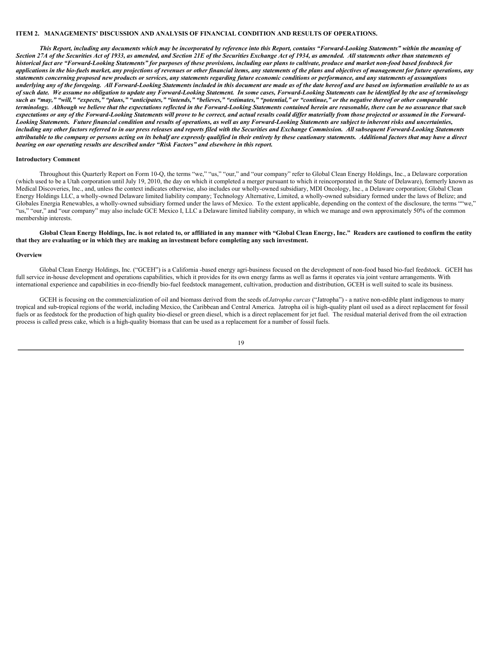#### **ITEM 2. MANAGEMENTS' DISCUSSION AND ANALYSIS OF FINANCIAL CONDITION AND RESULTS OF OPERATIONS.**

This Report, including any documents which may be incorporated by reference into this Report, contains "Forward-Looking Statements" within the meaning of Section 27A of the Securities Act of 1933, as amended, and Section 21E of the Securities Exchange Act of 1934, as amended. All statements other than statements of historical fact are "Forward-Looking Statements" for purposes of these provisions, including our plans to cultivate, produce and market non-food based feedstock for applications in the bio-fuels market, any projections of revenues or other financial items, any statements of the plans and objectives of management for future operations, any statements concerning proposed new products or services, any statements regarding future economic conditions or performance, and any statements of assumptions underlying any of the foregoing. All Forward-Looking Statements included in this document are made as of the date hereof and are based on information available to us as of such date. We assume no obligation to update any Forward-Looking Statement. In some cases, Forward-Looking Statements can be identified by the use of terminology such as "may," "will," "expects," "plans," "anticipates," "intends," "believes," "estimates," "potential," or "continue," or the negative thereof or other comparable terminology. Although we believe that the expectations reflected in the Forward-Looking Statements contained herein are reasonable, there can be no assurance that such expectations or any of the Forward-Looking Statements will prove to be correct, and actual results could differ materially from those projected or assumed in the Forward-Looking Statements. Future financial condition and results of operations, as well as any Forward-Looking Statements are subject to inherent risks and uncertainties, including any other factors referred to in our press releases and reports filed with the Securities and Exchange Commission. All subsequent Forward-Looking Statements attributable to the company or persons acting on its behalf are expressly qualified in their entirety by these cautionary statements. Additional factors that may have a direct *bearing on our operating results are described under "Risk Factors" and elsewhere in this report.*

#### **Introductory Comment**

Throughout this Quarterly Report on Form 10-Q, the terms "we," "us," "our," and "our company" refer to Global Clean Energy Holdings, Inc., a Delaware corporation (which used to be a Utah corporation until July 19, 2010, the day on which it completed a merger pursuant to which it reincorporated in the State of Delaware), formerly known as Medical Discoveries, Inc., and, unless the context indicates otherwise, also includes our wholly-owned subsidiary, MDI Oncology, Inc., a Delaware corporation; Global Clean Energy Holdings LLC, a wholly-owned Delaware limited liability company; Technology Alternative, Limited, a wholly-owned subsidiary formed under the laws of Belize; and Globales Energia Renewables, a wholly-owned subsidiary formed under the laws of Mexico. To the extent applicable, depending on the context of the disclosure, the terms ""we," "us," "our," and "our company" may also include GCE Mexico I, LLC a Delaware limited liability company, in which we manage and own approximately 50% of the common membership interests.

## Global Clean Energy Holdings, Inc. is not related to, or affiliated in any manner with "Global Clean Energy, Inc." Readers are cautioned to confirm the entity **that they are evaluating or in which they are making an investment before completing any such investment.**

#### **Overview**

Global Clean Energy Holdings, Inc. ("GCEH") is a California -based energy agri-business focused on the development of non-food based bio-fuel feedstock. GCEH has full service in-house development and operations capabilities, which it provides for its own energy farms as well as farms it operates via joint venture arrangements. With international experience and capabilities in eco-friendly bio-fuel feedstock management, cultivation, production and distribution, GCEH is well suited to scale its business.

GCEH is focusing on the commercialization of oil and biomass derived from the seeds of*Jatropha curcas* ("Jatropha") - a native non-edible plant indigenous to many tropical and sub-tropical regions of the world, including Mexico, the Caribbean and Central America. Jatropha oil is high-quality plant oil used as a direct replacement for fossil fuels or as feedstock for the production of high quality bio-diesel or green diesel, which is a direct replacement for jet fuel. The residual material derived from the oil extraction process is called press cake, which is a high-quality biomass that can be used as a replacement for a number of fossil fuels.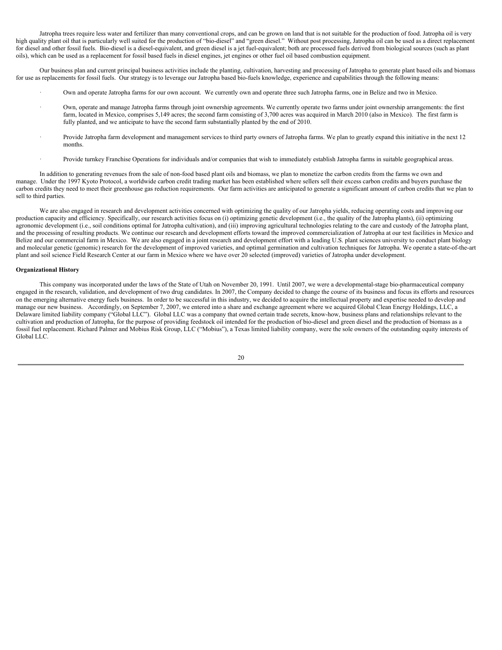Jatropha trees require less water and fertilizer than many conventional crops, and can be grown on land that is not suitable for the production of food. Jatropha oil is very high quality plant oil that is particularly well suited for the production of "bio-diesel" and "green diesel." Without post processing, Jatropha oil can be used as a direct replacement for diesel and other fossil fuels. Bio-diesel is a diesel-equivalent, and green diesel is a jet fuel-equivalent; both are processed fuels derived from biological sources (such as plant oils), which can be used as a replacement for fossil based fuels in diesel engines, jet engines or other fuel oil based combustion equipment.

Our business plan and current principal business activities include the planting, cultivation, harvesting and processing of Jatropha to generate plant based oils and biomass for use as replacements for fossil fuels. Our strategy is to leverage our Jatropha based bio-fuels knowledge, experience and capabilities through the following means:

- · Own and operate Jatropha farms for our own account. We currently own and operate three such Jatropha farms, one in Belize and two in Mexico.
- · Own, operate and manage Jatropha farms through joint ownership agreements. We currently operate two farms under joint ownership arrangements: the first farm, located in Mexico, comprises 5,149 acres; the second farm consisting of 3,700 acres was acquired in March 2010 (also in Mexico). The first farm is fully planted, and we anticipate to have the second farm substantially planted by the end of 2010.
- · Provide Jatropha farm development and management services to third party owners of Jatropha farms. We plan to greatly expand this initiative in the next 12 months.
	- · Provide turnkey Franchise Operations for individuals and/or companies that wish to immediately establish Jatropha farms in suitable geographical areas.

In addition to generating revenues from the sale of non-food based plant oils and biomass, we plan to monetize the carbon credits from the farms we own and manage. Under the 1997 Kyoto Protocol, a worldwide carbon credit trading market has been established where sellers sell their excess carbon credits and buyers purchase the carbon credits they need to meet their greenhouse gas reduction requirements. Our farm activities are anticipated to generate a significant amount of carbon credits that we plan to sell to third parties.

We are also engaged in research and development activities concerned with optimizing the quality of our Jatropha yields, reducing operating costs and improving our production capacity and efficiency. Specifically, our research activities focus on (i) optimizing genetic development (i.e., the quality of the Jatropha plants), (ii) optimizing agronomic development (i.e., soil conditions optimal for Jatropha cultivation), and (iii) improving agricultural technologies relating to the care and custody of the Jatropha plant, and the processing of resulting products. We continue our research and development efforts toward the improved commercialization of Jatropha at our test facilities in Mexico and Belize and our commercial farm in Mexico. We are also engaged in a joint research and development effort with a leading U.S. plant sciences university to conduct plant biology and molecular genetic (genomic) research for the development of improved varieties, and optimal germination and cultivation techniques for Jatropha. We operate a state-of-the-art plant and soil science Field Research Center at our farm in Mexico where we have over 20 selected (improved) varieties of Jatropha under development.

## **Organizational History**

This company was incorporated under the laws of the State of Utah on November 20, 1991. Until 2007, we were a developmental-stage bio-pharmaceutical company engaged in the research, validation, and development of two drug candidates. In 2007, the Company decided to change the course of its business and focus its efforts and resources on the emerging alternative energy fuels business. In order to be successful in this industry, we decided to acquire the intellectual property and expertise needed to develop and manage our new business. Accordingly, on September 7, 2007, we entered into a share and exchange agreement where we acquired Global Clean Energy Holdings, LLC, a Delaware limited liability company ("Global LLC"). Global LLC was a company that owned certain trade secrets, know-how, business plans and relationships relevant to the cultivation and production of Jatropha, for the purpose of providing feedstock oil intended for the production of bio-diesel and green diesel and the production of biomass as a fossil fuel replacement. Richard Palmer and Mobius Risk Group, LLC ("Mobius"), a Texas limited liability company, were the sole owners of the outstanding equity interests of Global LLC.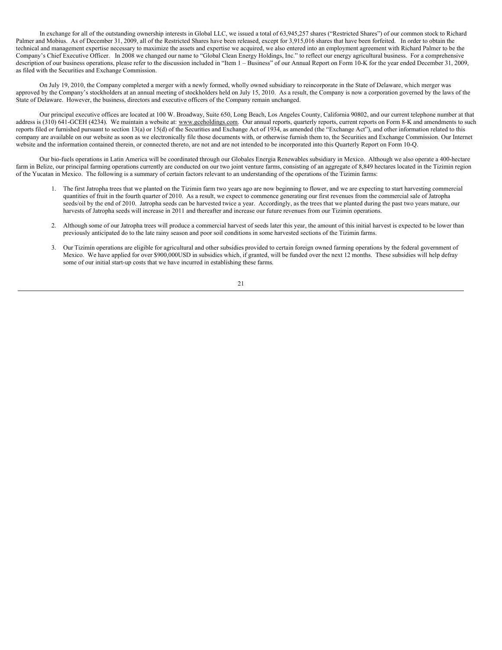In exchange for all of the outstanding ownership interests in Global LLC, we issued a total of 63,945,257 shares ("Restricted Shares") of our common stock to Richard Palmer and Mobius. As of December 31, 2009, all of the Restricted Shares have been released, except for 3,915,016 shares that have been forfeited. In order to obtain the technical and management expertise necessary to maximize the assets and expertise we acquired, we also entered into an employment agreement with Richard Palmer to be the Company's Chief Executive Officer. In 2008 we changed our name to "Global Clean Energy Holdings, Inc." to reflect our energy agricultural business. For a comprehensive description of our business operations, please refer to the discussion included in "Item 1 – Business" of our Annual Report on Form 10-K for the year ended December 31, 2009, as filed with the Securities and Exchange Commission.

On July 19, 2010, the Company completed a merger with a newly formed, wholly owned subsidiary to reincorporate in the State of Delaware, which merger was approved by the Company's stockholders at an annual meeting of stockholders held on July 15, 2010. As a result, the Company is now a corporation governed by the laws of the State of Delaware. However, the business, directors and executive officers of the Company remain unchanged.

Our principal executive offices are located at 100 W. Broadway, Suite 650, Long Beach, Los Angeles County, California 90802, and our current telephone number at that address is (310) 641-GCEH (4234). We maintain a website at: www.gceholdings.com. Our annual reports, quarterly reports, current reports on Form 8-K and amendments to such reports filed or furnished pursuant to section 13(a) or 15(d) of the Securities and Exchange Act of 1934, as amended (the "Exchange Act"), and other information related to this company are available on our website as soon as we electronically file those documents with, or otherwise furnish them to, the Securities and Exchange Commission. Our Internet website and the information contained therein, or connected thereto, are not and are not intended to be incorporated into this Quarterly Report on Form 10-Q.

Our bio-fuels operations in Latin America will be coordinated through our Globales Energia Renewables subsidiary in Mexico. Although we also operate a 400-hectare farm in Belize, our principal farming operations currently are conducted on our two joint venture farms, consisting of an aggregate of 8,849 hectares located in the Tizimin region of the Yucatan in Mexico. The following is a summary of certain factors relevant to an understanding of the operations of the Tizimin farms:

- 1. The first Jatropha trees that we planted on the Tizimin farm two years ago are now beginning to flower, and we are expecting to start harvesting commercial quantities of fruit in the fourth quarter of 2010. As a result, we expect to commence generating our first revenues from the commercial sale of Jatropha seeds/oil by the end of 2010. Jatropha seeds can be harvested twice a year. Accordingly, as the trees that we planted during the past two years mature, our harvests of Jatropha seeds will increase in 2011 and thereafter and increase our future revenues from our Tizimin operations.
- 2. Although some of our Jatropha trees will produce a commercial harvest of seeds later this year, the amount of this initial harvest is expected to be lower than previously anticipated do to the late rainy season and poor soil conditions in some harvested sections of the Tizimin farms.
- 3. Our Tizimin operations are eligible for agricultural and other subsidies provided to certain foreign owned farming operations by the federal government of Mexico. We have applied for over \$900,000USD in subsidies which, if granted, will be funded over the next 12 months. These subsidies will help defray some of our initial start-up costs that we have incurred in establishing these farms.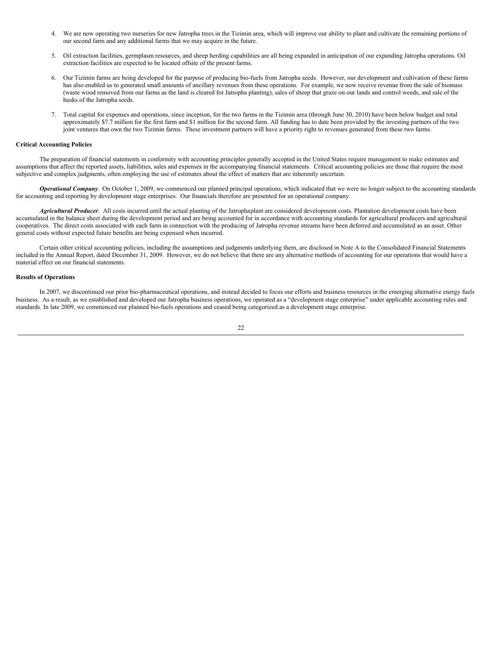- 4. We are now operating two nurseries for new Jatropha trees in the Tizimin area, which will improve our ability to plant and cultivate the remaining portions of our second farm and any additional farms that we may acquire in the future.
- 5. Oil extraction facilities, germplasm resources, and sheep herding capabilities are all being expanded in anticipation of our expanding Jatropha operations. Oil extraction facilities are expected to be located offsite of the present farms.
- 6. Our Tizimin farms are being developed for the purpose of producing bio-fuels from Jatropha seeds. However, our development and cultivation of these farms has also enabled us to generated small amounts of ancillary revenues from these operations. For example, we now receive revenue from the sale of biomass (waste wood removed from our farms as the land is cleared for Jatropha planting), sales of sheep that graze on our lands and control weeds, and sale of the husks of the Jatropha seeds.
- 7. Total capital for expenses and operations, since inception, for the two farms in the Tizimin area (through June 30, 2010) have been below budget and total approximately \$7.7 million for the first farm and \$1 million for the second farm. All funding has to date been provided by the investing partners of the two joint ventures that own the two Tizimin farms. These investment partners will have a priority right to revenues generated from these two farms.

#### **Critical Accounting Policies**

The preparation of financial statements in conformity with accounting principles generally accepted in the United States require management to make estimates and assumptions that affect the reported assets, liabilities, sales and expenses in the accompanying financial statements. Critical accounting policies are those that require the most subjective and complex judgments, often employing the use of estimates about the effect of matters that are inherently uncertain.

*Operational Company*. On October 1, 2009, we commenced our planned principal operations, which indicated that we were no longer subject to the accounting standards for accounting and reporting by development stage enterprises. Our financials therefore are presented for an operational company.

*Agricultural Producer*. All costs incurred until the actual planting of the Jatrophaplant are considered development costs. Plantation development costs have been accumulated in the balance sheet during the development period and are being accounted for in accordance with accounting standards for agricultural producers and agricultural cooperatives. The direct costs associated with each farm in connection with the producing of Jatropha revenue streams have been deferred and accumulated as an asset. Other general costs without expected future benefits are being expensed when incurred.

Certain other critical accounting policies, including the assumptions and judgments underlying them, are disclosed in Note A to the Consolidated Financial Statements included in the Annual Report, dated December 31, 2009. However, we do not believe that there are any alternative methods of accounting for our operations that would have a material effect on our financial statements.

### **Results of Operations**

In 2007, we discontinued our prior bio-pharmaceutical operations, and instead decided to focus our efforts and business resources in the emerging alternative energy fuels business. As a result, as we established and developed our Jatropha business operations, we operated as a "development stage enterprise" under applicable accounting rules and standards. In late 2009, we commenced our planned bio-fuels operations and ceased being categorized as a development stage enterprise.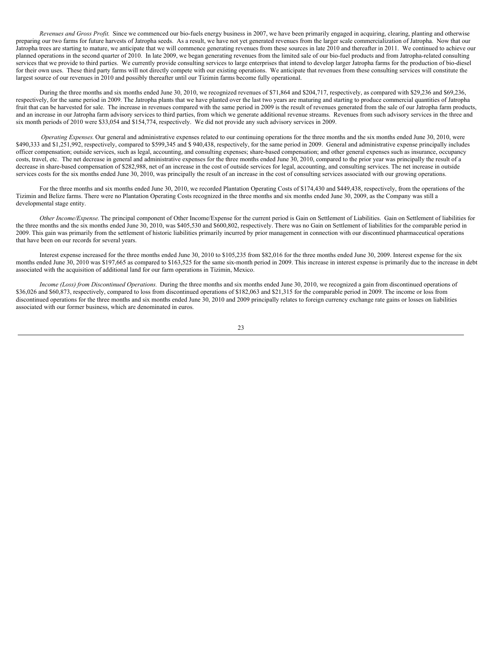*Revenues and Gross Profit*. Since we commenced our bio-fuels energy business in 2007, we have been primarily engaged in acquiring, clearing, planting and otherwise preparing our two farms for future harvests of Jatropha seeds. As a result, we have not yet generated revenues from the larger scale commercialization of Jatropha. Now that our Jatropha trees are starting to mature, we anticipate that we will commence generating revenues from these sources in late 2010 and thereafter in 2011. We continued to achieve our planned operations in the second quarter of 2010. In late 2009, we began generating revenues from the limited sale of our bio-fuel products and from Jatropha-related consulting services that we provide to third parties. We currently provide consulting services to large enterprises that intend to develop larger Jatropha farms for the production of bio-diesel for their own uses. These third party farms will not directly compete with our existing operations. We anticipate that revenues from these consulting services will constitute the largest source of our revenues in 2010 and possibly thereafter until our Tizimin farms become fully operational.

During the three months and six months ended June 30, 2010, we recognized revenues of \$71,864 and \$204,717, respectively, as compared with \$29,236 and \$69,236, respectively, for the same period in 2009. The Jatropha plants that we have planted over the last two years are maturing and starting to produce commercial quantities of Jatropha fruit that can be harvested for sale. The increase in revenues compared with the same period in 2009 is the result of revenues generated from the sale of our Jatropha farm products, and an increase in our Jatropha farm advisory services to third parties, from which we generate additional revenue streams. Revenues from such advisory services in the three and six month periods of 2010 were \$33,054 and \$154,774, respectively. We did not provide any such advisory services in 2009.

*Operating Expenses*. Our general and administrative expenses related to our continuing operations for the three months and the six months ended June 30, 2010, were \$490,333 and \$1,251,992, respectively, compared to \$599,345 and \$ 940,438, respectively, for the same period in 2009. General and administrative expense principally includes officer compensation; outside services, such as legal, accounting, and consulting expenses; share-based compensation; and other general expenses such as insurance, occupancy costs, travel, etc. The net decrease in general and administrative expenses for the three months ended June 30, 2010, compared to the prior year was principally the result of a decrease in share-based compensation of \$282,988, net of an increase in the cost of outside services for legal, accounting, and consulting services. The net increase in outside services costs for the six months ended June 30, 2010, was principally the result of an increase in the cost of consulting services associated with our growing operations.

For the three months and six months ended June 30, 2010, we recorded Plantation Operating Costs of \$174,430 and \$449,438, respectively, from the operations of the Tizimin and Belize farms. There were no Plantation Operating Costs recognized in the three months and six months ended June 30, 2009, as the Company was still a developmental stage entity.

*Other Income/Expense*. The principal component of Other Income/Expense for the current period is Gain on Settlement of Liabilities. Gain on Settlement of liabilities for the three months and the six months ended June 30, 2010, was \$405,530 and \$600,802, respectively. There was no Gain on Settlement of liabilities for the comparable period in 2009. This gain was primarily from the settlement of historic liabilities primarily incurred by prior management in connection with our discontinued pharmaceutical operations that have been on our records for several years.

Interest expense increased for the three months ended June 30, 2010 to \$105,235 from \$82,016 for the three months ended June 30, 2009. Interest expense for the six months ended June 30, 2010 was \$197,665 as compared to \$163,525 for the same six-month period in 2009. This increase in interest expense is primarily due to the increase in debt associated with the acquisition of additional land for our farm operations in Tizimin, Mexico.

*Income (Loss) from Discontinued Operations.* During the three months and six months ended June 30, 2010, we recognized a gain from discontinued operations of \$36,026 and \$60,873, respectively, compared to loss from discontinued operations of \$182,063 and \$21,315 for the comparable period in 2009. The income or loss from discontinued operations for the three months and six months ended June 30, 2010 and 2009 principally relates to foreign currency exchange rate gains or losses on liabilities associated with our former business, which are denominated in euros.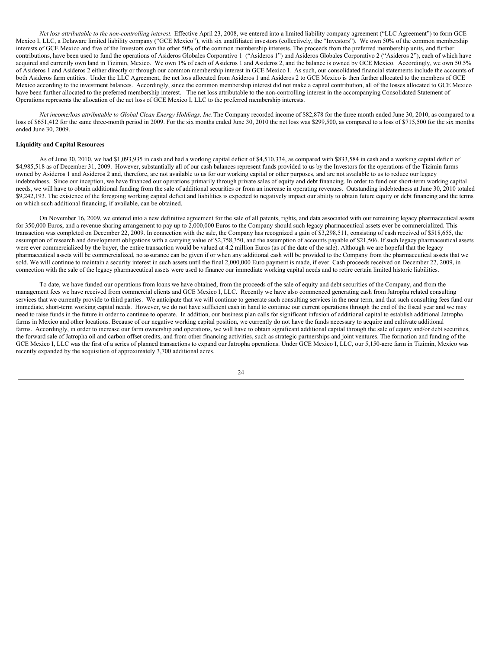*Net loss attributable to the non-controlling interest*. Effective April 23, 2008, we entered into a limited liability company agreement ("LLC Agreement") to form GCE Mexico I, LLC, a Delaware limited liability company ("GCE Mexico"), with six unaffiliated investors (collectively, the "Investors"). We own 50% of the common membership interests of GCE Mexico and five of the Investors own the other 50% of the common membership interests. The proceeds from the preferred membership units, and further contributions, have been used to fund the operations of Asideros Globales Corporativo 1 ("Asideros 1") and Asideros Globales Corporativo 2 ("Asideros 2"), each of which have acquired and currently own land in Tizimin, Mexico. We own 1% of each of Asideros 1 and Asideros 2, and the balance is owned by GCE Mexico. Accordingly, we own 50.5% of Asideros 1 and Asideros 2 either directly or through our common membership interest in GCE Mexico I. As such, our consolidated financial statements include the accounts of both Asideros farm entities. Under the LLC Agreement, the net loss allocated from Asideros 1 and Asideros 2 to GCE Mexico is then further allocated to the members of GCE Mexico according to the investment balances. Accordingly, since the common membership interest did not make a capital contribution, all of the losses allocated to GCE Mexico have been further allocated to the preferred membership interest. The net loss attributable to the non-controlling interest in the accompanying Consolidated Statement of Operations represents the allocation of the net loss of GCE Mexico I, LLC to the preferred membership interests.

Net income/loss attributable to Global Clean Energy Holdings, Inc. The Company recorded income of \$82,878 for the three month ended June 30, 2010, as compared to a loss of \$651,412 for the same three-month period in 2009. For the six months ended June 30, 2010 the net loss was \$299,500, as compared to a loss of \$715,500 for the six months ended June 30, 2009.

## **Liquidity and Capital Resources**

As of June 30, 2010, we had \$1,093,935 in cash and had a working capital deficit of \$4,510,334, as compared with \$833,584 in cash and a working capital deficit of \$4,985,518 as of December 31, 2009. However, substantially all of our cash balances represent funds provided to us by the Investors for the operations of the Tizimin farms owned by Asideros 1 and Asideros 2 and, therefore, are not available to us for our working capital or other purposes, and are not available to us to reduce our legacy indebtedness. Since our inception, we have financed our operations primarily through private sales of equity and debt financing. In order to fund our short-term working capital needs, we will have to obtain additional funding from the sale of additional securities or from an increase in operating revenues. Outstanding indebtedness at June 30, 2010 totaled \$9,242,193. The existence of the foregoing working capital deficit and liabilities is expected to negatively impact our ability to obtain future equity or debt financing and the terms on which such additional financing, if available, can be obtained.

On November 16, 2009, we entered into a new definitive agreement for the sale of all patents, rights, and data associated with our remaining legacy pharmaceutical assets for 350,000 Euros, and a revenue sharing arrangement to pay up to 2,000,000 Euros to the Company should such legacy pharmaceutical assets ever be commercialized. This transaction was completed on December 22, 2009. In connection with the sale, the Company has recognized a gain of \$3,298,511, consisting of cash received of \$518,655, the assumption of research and development obligations with a carrying value of \$2,758,350, and the assumption of accounts payable of \$21,506. If such legacy pharmaceutical assets were ever commercialized by the buyer, the entire transaction would be valued at 4.2 million Euros (as of the date of the sale). Although we are hopeful that the legacy pharmaceutical assets will be commercialized, no assurance can be given if or when any additional cash will be provided to the Company from the pharmaceutical assets that we sold. We will continue to maintain a security interest in such assets until the final 2,000,000 Euro payment is made, if ever. Cash proceeds received on December 22, 2009, in connection with the sale of the legacy pharmaceutical assets were used to finance our immediate working capital needs and to retire certain limited historic liabilities.

To date, we have funded our operations from loans we have obtained, from the proceeds of the sale of equity and debt securities of the Company, and from the management fees we have received from commercial clients and GCE Mexico I, LLC. Recently we have also commenced generating cash from Jatropha related consulting services that we currently provide to third parties. We anticipate that we will continue to generate such consulting services in the near term, and that such consulting fees fund our immediate, short-term working capital needs. However, we do not have sufficient cash in hand to continue our current operations through the end of the fiscal year and we may need to raise funds in the future in order to continue to operate. In addition, our business plan calls for significant infusion of additional capital to establish additional Jatropha farms in Mexico and other locations. Because of our negative working capital position, we currently do not have the funds necessary to acquire and cultivate additional farms. Accordingly, in order to increase our farm ownership and operations, we will have to obtain significant additional capital through the sale of equity and/or debt securities, the forward sale of Jatropha oil and carbon offset credits, and from other financing activities, such as strategic partnerships and joint ventures. The formation and funding of the GCE Mexico I, LLC was the first of a series of planned transactions to expand our Jatropha operations. Under GCE Mexico I, LLC, our 5,150-acre farm in Tizimin, Mexico was recently expanded by the acquisition of approximately 3,700 additional acres.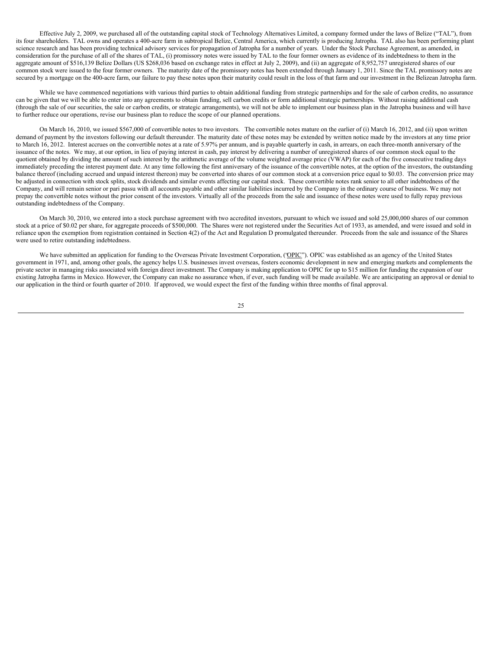Effective July 2, 2009, we purchased all of the outstanding capital stock of Technology Alternatives Limited, a company formed under the laws of Belize ("TAL"), from its four shareholders. TAL owns and operates a 400-acre farm in subtropical Belize, Central America, which currently is producing Jatropha. TAL also has been performing plant science research and has been providing technical advisory services for propagation of Jatropha for a number of years. Under the Stock Purchase Agreement, as amended, in consideration for the purchase of all of the shares of TAL, (i) promissory notes were issued by TAL to the four former owners as evidence of its indebtedness to them in the aggregate amount of \$516,139 Belize Dollars (US \$268,036 based on exchange rates in effect at July 2, 2009), and (ii) an aggregate of 8,952,757 unregistered shares of our common stock were issued to the four former owners. The maturity date of the promissory notes has been extended through January 1, 2011. Since the TAL promissory notes are secured by a mortgage on the 400-acre farm, our failure to pay these notes upon their maturity could result in the loss of that farm and our investment in the Belizean Jatropha farm.

While we have commenced negotiations with various third parties to obtain additional funding from strategic partnerships and for the sale of carbon credits, no assurance can be given that we will be able to enter into any agreements to obtain funding, sell carbon credits or form additional strategic partnerships. Without raising additional cash (through the sale of our securities, the sale or carbon credits, or strategic arrangements), we will not be able to implement our business plan in the Jatropha business and will have to further reduce our operations, revise our business plan to reduce the scope of our planned operations.

On March 16, 2010, we issued \$567,000 of convertible notes to two investors. The convertible notes mature on the earlier of (i) March 16, 2012, and (ii) upon written demand of payment by the investors following our default thereunder. The maturity date of these notes may be extended by written notice made by the investors at any time prior to March 16, 2012. Interest accrues on the convertible notes at a rate of 5.97% per annum, and is payable quarterly in cash, in arrears, on each three-month anniversary of the issuance of the notes. We may, at our option, in lieu of paying interest in cash, pay interest by delivering a number of unregistered shares of our common stock equal to the quotient obtained by dividing the amount of such interest by the arithmetic average of the volume weighted average price (VWAP) for each of the five consecutive trading days immediately preceding the interest payment date. At any time following the first anniversary of the issuance of the convertible notes, at the option of the investors, the outstanding balance thereof (including accrued and unpaid interest thereon) may be converted into shares of our common stock at a conversion price equal to \$0.03. The conversion price may be adjusted in connection with stock splits, stock dividends and similar events affecting our capital stock. These convertible notes rank senior to all other indebtedness of the Company, and will remain senior or pari passu with all accounts payable and other similar liabilities incurred by the Company in the ordinary course of business. We may not prepay the convertible notes without the prior consent of the investors. Virtually all of the proceeds from the sale and issuance of these notes were used to fully repay previous outstanding indebtedness of the Company.

On March 30, 2010, we entered into a stock purchase agreement with two accredited investors, pursuant to which we issued and sold 25,000,000 shares of our common stock at a price of \$0.02 per share, for aggregate proceeds of \$500,000. The Shares were not registered under the Securities Act of 1933, as amended, and were issued and sold in reliance upon the exemption from registration contained in Section 4(2) of the Act and Regulation D promulgated thereunder. Proceeds from the sale and issuance of the Shares were used to retire outstanding indebtedness.

We have submitted an application for funding to the Overseas Private Investment Corporation, ('OPIC''). OPIC was established as an agency of the United States government in 1971, and, among other goals, the agency helps U.S. businesses invest overseas, fosters economic development in new and emerging markets and complements the private sector in managing risks associated with foreign direct investment. The Company is making application to OPIC for up to \$15 million for funding the expansion of our existing Jatropha farms in Mexico. However, the Company can make no assurance when, if ever, such funding will be made available. We are anticipating an approval or denial to our application in the third or fourth quarter of 2010. If approved, we would expect the first of the funding within three months of final approval.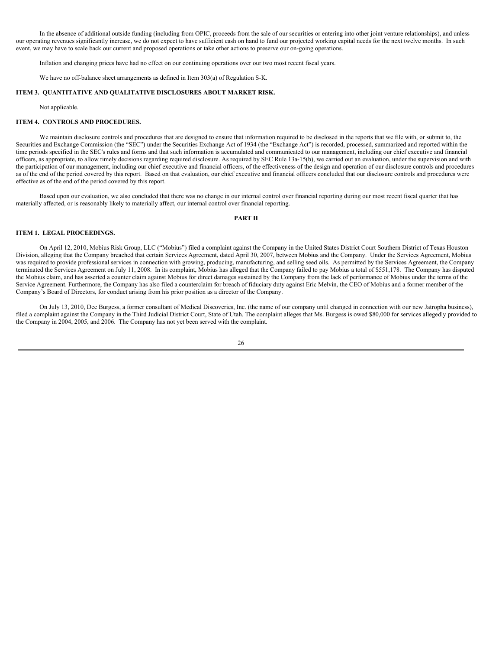In the absence of additional outside funding (including from OPIC, proceeds from the sale of our securities or entering into other joint venture relationships), and unless our operating revenues significantly increase, we do not expect to have sufficient cash on hand to fund our projected working capital needs for the next twelve months. In such event, we may have to scale back our current and proposed operations or take other actions to preserve our on-going operations.

Inflation and changing prices have had no effect on our continuing operations over our two most recent fiscal years.

We have no off-balance sheet arrangements as defined in Item 303(a) of Regulation S-K.

#### **ITEM 3. QUANTITATIVE AND QUALITATIVE DISCLOSURES ABOUT MARKET RISK.**

Not applicable.

## **ITEM 4. CONTROLS AND PROCEDURES.**

We maintain disclosure controls and procedures that are designed to ensure that information required to be disclosed in the reports that we file with, or submit to, the Securities and Exchange Commission (the "SEC") under the Securities Exchange Act of 1934 (the "Exchange Act") is recorded, processed, summarized and reported within the time periods specified in the SEC's rules and forms and that such information is accumulated and communicated to our management, including our chief executive and financial officers, as appropriate, to allow timely decisions regarding required disclosure. As required by SEC Rule 13a-15(b), we carried out an evaluation, under the supervision and with the participation of our management, including our chief executive and financial officers, of the effectiveness of the design and operation of our disclosure controls and procedures as of the end of the period covered by this report. Based on that evaluation, our chief executive and financial officers concluded that our disclosure controls and procedures were effective as of the end of the period covered by this report.

Based upon our evaluation, we also concluded that there was no change in our internal control over financial reporting during our most recent fiscal quarter that has materially affected, or is reasonably likely to materially affect, our internal control over financial reporting.

#### **PART II**

## **ITEM 1. LEGAL PROCEEDINGS.**

On April 12, 2010, Mobius Risk Group, LLC ("Mobius") filed a complaint against the Company in the United States District Court Southern District of Texas Houston Division, alleging that the Company breached that certain Services Agreement, dated April 30, 2007, between Mobius and the Company. Under the Services Agreement, Mobius was required to provide professional services in connection with growing, producing, manufacturing, and selling seed oils. As permitted by the Services Agreement, the Company terminated the Services Agreement on July 11, 2008. In its complaint, Mobius has alleged that the Company failed to pay Mobius a total of \$551,178. The Company has disputed the Mobius claim, and has asserted a counter claim against Mobius for direct damages sustained by the Company from the lack of performance of Mobius under the terms of the Service Agreement. Furthermore, the Company has also filed a counterclaim for breach of fiduciary duty against Eric Melvin, the CEO of Mobius and a former member of the Company's Board of Directors, for conduct arising from his prior position as a director of the Company.

On July 13, 2010, Dee Burgess, a former consultant of Medical Discoveries, Inc. (the name of our company until changed in connection with our new Jatropha business), filed a complaint against the Company in the Third Judicial District Court, State of Utah. The complaint alleges that Ms. Burgess is owed \$80,000 for services allegedly provided to the Company in 2004, 2005, and 2006. The Company has not yet been served with the complaint.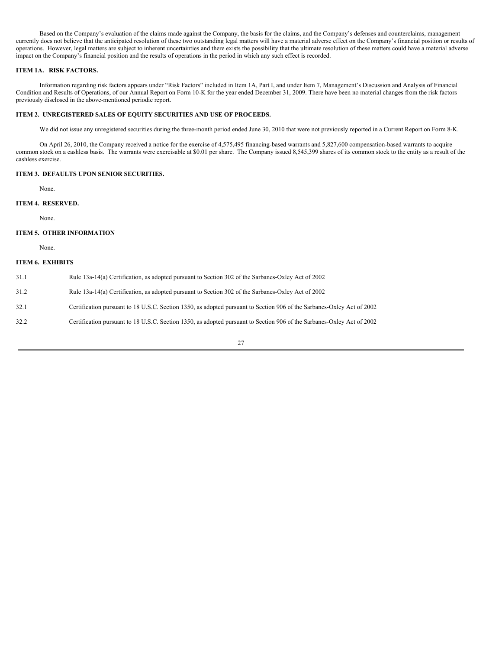Based on the Company's evaluation of the claims made against the Company, the basis for the claims, and the Company's defenses and counterclaims, management currently does not believe that the anticipated resolution of these two outstanding legal matters will have a material adverse effect on the Company's financial position or results of operations. However, legal matters are subject to inherent uncertainties and there exists the possibility that the ultimate resolution of these matters could have a material adverse impact on the Company's financial position and the results of operations in the period in which any such effect is recorded.

## **ITEM 1A. RISK FACTORS.**

Information regarding risk factors appears under "Risk Factors" included in Item 1A, Part I, and under Item 7, Management's Discussion and Analysis of Financial Condition and Results of Operations, of our Annual Report on Form 10-K for the year ended December 31, 2009. There have been no material changes from the risk factors previously disclosed in the above-mentioned periodic report.

### **ITEM 2. UNREGISTERED SALES OF EQUITY SECURITIES AND USE OF PROCEEDS.**

We did not issue any unregistered securities during the three-month period ended June 30, 2010 that were not previously reported in a Current Report on Form 8-K.

On April 26, 2010, the Company received a notice for the exercise of 4,575,495 financing-based warrants and 5,827,600 compensation-based warrants to acquire common stock on a cashless basis. The warrants were exercisable at \$0.01 per share. The Company issued 8,545,399 shares of its common stock to the entity as a result of the cashless exercise.

## **ITEM 3. DEFAULTS UPON SENIOR SECURITIES.**

None.

## **ITEM 4. RESERVED.**

None.

## **ITEM 5. OTHER INFORMATION**

None.

## **ITEM 6. EXHIBITS**

| 32.2 | Certification pursuant to 18 U.S.C. Section 1350, as adopted pursuant to Section 906 of the Sarbanes-Oxley Act of 2002 |
|------|------------------------------------------------------------------------------------------------------------------------|
| 32.1 | Certification pursuant to 18 U.S.C. Section 1350, as adopted pursuant to Section 906 of the Sarbanes-Oxley Act of 2002 |
| 31.2 | Rule 13a-14(a) Certification, as adopted pursuant to Section 302 of the Sarbanes-Oxley Act of 2002                     |
| 31.1 | Rule 13a-14(a) Certification, as adopted pursuant to Section 302 of the Sarbanes-Oxley Act of 2002                     |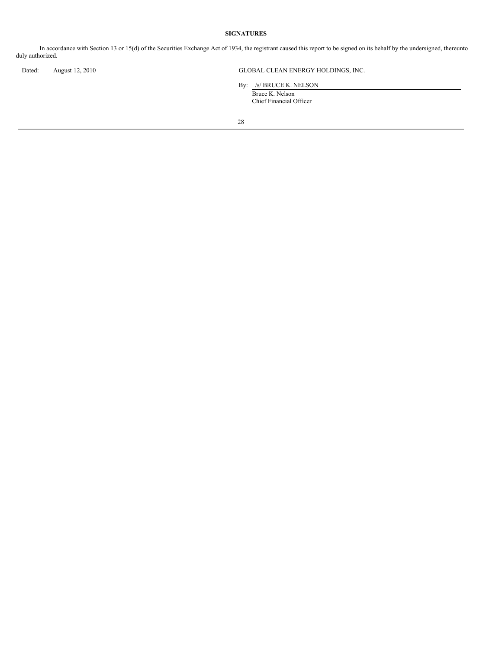## **SIGNATURES**

In accordance with Section 13 or 15(d) of the Securities Exchange Act of 1934, the registrant caused this report to be signed on its behalf by the undersigned, thereunto duly authorized.

Dated: August 12, 2010 GLOBAL CLEAN ENERGY HOLDINGS, INC.

By: /s/ BRUCE K. NELSON

Bruce K. Nelson Chief Financial Officer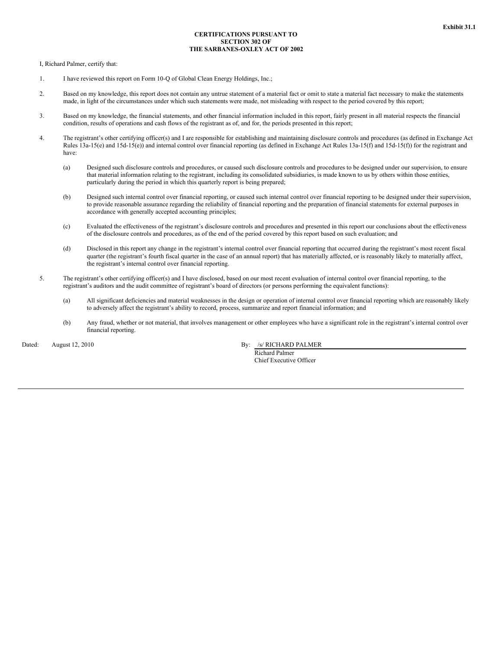## **CERTIFICATIONS PURSUANT TO SECTION 302 OF THE SARBANES-OXLEY ACT OF 2002**

I, Richard Palmer, certify that:

- 1. I have reviewed this report on Form 10-Q of Global Clean Energy Holdings, Inc.;
- 2. Based on my knowledge, this report does not contain any untrue statement of a material fact or omit to state a material fact necessary to make the statements made, in light of the circumstances under which such statements were made, not misleading with respect to the period covered by this report;
- 3. Based on my knowledge, the financial statements, and other financial information included in this report, fairly present in all material respects the financial condition, results of operations and cash flows of the registrant as of, and for, the periods presented in this report;
- 4. The registrant's other certifying officer(s) and I are responsible for establishing and maintaining disclosure controls and procedures (as defined in Exchange Act Rules 13a-15(e) and 15d-15(e)) and internal control over financial reporting (as defined in Exchange Act Rules 13a-15(f) and 15d-15(f)) for the registrant and have:
	- (a) Designed such disclosure controls and procedures, or caused such disclosure controls and procedures to be designed under our supervision, to ensure that material information relating to the registrant, including its consolidated subsidiaries, is made known to us by others within those entities, particularly during the period in which this quarterly report is being prepared;
	- (b) Designed such internal control over financial reporting, or caused such internal control over financial reporting to be designed under their supervision, to provide reasonable assurance regarding the reliability of financial reporting and the preparation of financial statements for external purposes in accordance with generally accepted accounting principles;
	- (c) Evaluated the effectiveness of the registrant's disclosure controls and procedures and presented in this report our conclusions about the effectiveness of the disclosure controls and procedures, as of the end of the period covered by this report based on such evaluation; and
	- (d) Disclosed in this report any change in the registrant's internal control over financial reporting that occurred during the registrant's most recent fiscal quarter (the registrant's fourth fiscal quarter in the case of an annual report) that has materially affected, or is reasonably likely to materially affect, the registrant's internal control over financial reporting.
- 5. The registrant's other certifying officer(s) and I have disclosed, based on our most recent evaluation of internal control over financial reporting, to the registrant's auditors and the audit committee of registrant's board of directors (or persons performing the equivalent functions):
	- (a) All significant deficiencies and material weaknesses in the design or operation of internal control over financial reporting which are reasonably likely to adversely affect the registrant's ability to record, process, summarize and report financial information; and
	- (b) Any fraud, whether or not material, that involves management or other employees who have a significant role in the registrant's internal control over financial reporting.

Dated: August 12, 2010 **By:** /s/ RICHARD PALMER

Richard Palmer Chief Executive Officer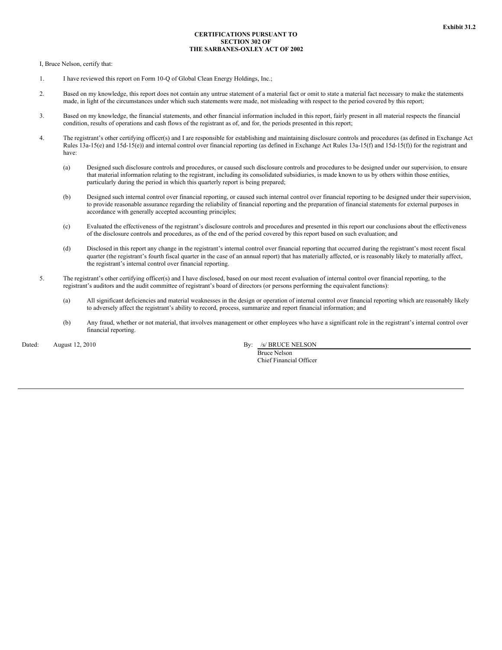## **CERTIFICATIONS PURSUANT TO SECTION 302 OF THE SARBANES-OXLEY ACT OF 2002**

I, Bruce Nelson, certify that:

- 1. I have reviewed this report on Form 10-Q of Global Clean Energy Holdings, Inc.;
- 2. Based on my knowledge, this report does not contain any untrue statement of a material fact or omit to state a material fact necessary to make the statements made, in light of the circumstances under which such statements were made, not misleading with respect to the period covered by this report;
- 3. Based on my knowledge, the financial statements, and other financial information included in this report, fairly present in all material respects the financial condition, results of operations and cash flows of the registrant as of, and for, the periods presented in this report;
- 4. The registrant's other certifying officer(s) and I are responsible for establishing and maintaining disclosure controls and procedures (as defined in Exchange Act Rules 13a-15(e) and 15d-15(e)) and internal control over financial reporting (as defined in Exchange Act Rules 13a-15(f) and 15d-15(f)) for the registrant and have:
	- (a) Designed such disclosure controls and procedures, or caused such disclosure controls and procedures to be designed under our supervision, to ensure that material information relating to the registrant, including its consolidated subsidiaries, is made known to us by others within those entities, particularly during the period in which this quarterly report is being prepared;
	- (b) Designed such internal control over financial reporting, or caused such internal control over financial reporting to be designed under their supervision, to provide reasonable assurance regarding the reliability of financial reporting and the preparation of financial statements for external purposes in accordance with generally accepted accounting principles;
	- (c) Evaluated the effectiveness of the registrant's disclosure controls and procedures and presented in this report our conclusions about the effectiveness of the disclosure controls and procedures, as of the end of the period covered by this report based on such evaluation; and
	- (d) Disclosed in this report any change in the registrant's internal control over financial reporting that occurred during the registrant's most recent fiscal quarter (the registrant's fourth fiscal quarter in the case of an annual report) that has materially affected, or is reasonably likely to materially affect, the registrant's internal control over financial reporting.
- 5. The registrant's other certifying officer(s) and I have disclosed, based on our most recent evaluation of internal control over financial reporting, to the registrant's auditors and the audit committee of registrant's board of directors (or persons performing the equivalent functions):
	- (a) All significant deficiencies and material weaknesses in the design or operation of internal control over financial reporting which are reasonably likely to adversely affect the registrant's ability to record, process, summarize and report financial information; and
	- (b) Any fraud, whether or not material, that involves management or other employees who have a significant role in the registrant's internal control over financial reporting.

Dated: August 12, 2010 By: /s/ BRUCE NELSON

Bruce Nelson Chief Financial Officer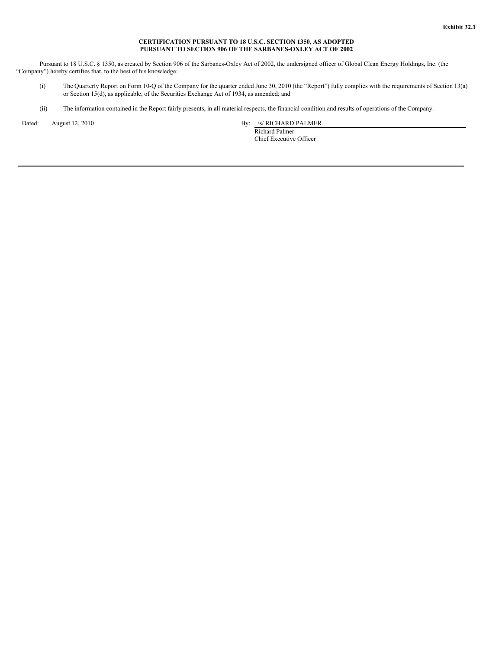## **CERTIFICATION PURSUANT TO 18 U.S.C. SECTION 1350, AS ADOPTED PURSUANT TO SECTION 906 OF THE SARBANES-OXLEY ACT OF 2002**

Pursuant to 18 U.S.C. § 1350, as created by Section 906 of the Sarbanes-Oxley Act of 2002, the undersigned officer of Global Clean Energy Holdings, Inc. (the "Company") hereby certifies that, to the best of his knowledge:

- (i) The Quarterly Report on Form 10-Q of the Company for the quarter ended June 30, 2010 (the "Report") fully complies with the requirements of Section 13(a) or Section 15(d), as applicable, of the Securities Exchange Act of 1934, as amended; and
- (ii) The information contained in the Report fairly presents, in all material respects, the financial condition and results of operations of the Company.

Dated: August 12, 2010 **By:** /s/ RICHARD PALMER

Richard Palmer Chief Executive Officer